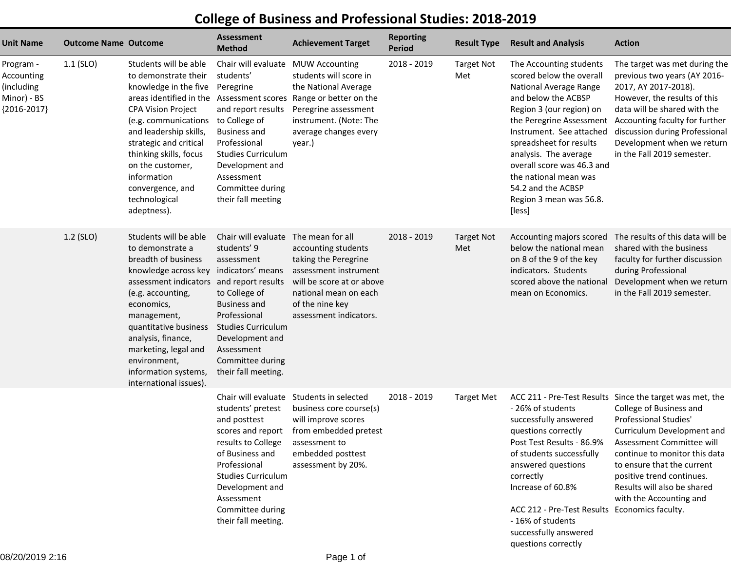## **College of Business and Professional Studies: 2018-2019**

| Unit Name                                                             | <b>Outcome Name Outcome</b> |                                                                                                                                                                                                                                                                                                                                                   | <b>Assessment</b><br><b>Method</b>                                                                                                                                                                                                              | <b>Achievement Target</b>                                                                                                                                                                   | <b>Reporting</b><br><b>Period</b> | <b>Result Type</b>       | <b>Result and Analysis</b>                                                                                                                                                                                                                                                                                                         | <b>Action</b>                                                                                                                                                                                                                                                                                                                 |
|-----------------------------------------------------------------------|-----------------------------|---------------------------------------------------------------------------------------------------------------------------------------------------------------------------------------------------------------------------------------------------------------------------------------------------------------------------------------------------|-------------------------------------------------------------------------------------------------------------------------------------------------------------------------------------------------------------------------------------------------|---------------------------------------------------------------------------------------------------------------------------------------------------------------------------------------------|-----------------------------------|--------------------------|------------------------------------------------------------------------------------------------------------------------------------------------------------------------------------------------------------------------------------------------------------------------------------------------------------------------------------|-------------------------------------------------------------------------------------------------------------------------------------------------------------------------------------------------------------------------------------------------------------------------------------------------------------------------------|
| Program -<br>Accounting<br>(including<br>Minor) - BS<br>${2016-2017}$ | $1.1$ (SLO)                 | Students will be able<br>to demonstrate their<br>knowledge in the five<br>areas identified in the Assessment scores<br><b>CPA Vision Project</b><br>(e.g. communications<br>and leadership skills,<br>strategic and critical<br>thinking skills, focus<br>on the customer,<br>information<br>convergence, and<br>technological<br>adeptness).     | Chair will evaluate<br>students'<br>Peregrine<br>and report results<br>to College of<br><b>Business and</b><br>Professional<br><b>Studies Curriculum</b><br>Development and<br>Assessment<br>Committee during<br>their fall meeting             | <b>MUW Accounting</b><br>students will score in<br>the National Average<br>Range or better on the<br>Peregrine assessment<br>instrument. (Note: The<br>average changes every<br>year.)      | 2018 - 2019                       | <b>Target Not</b><br>Met | The Accounting students<br>scored below the overall<br>National Average Range<br>and below the ACBSP<br>Region 3 (our region) on<br>Instrument. See attached<br>spreadsheet for results<br>analysis. The average<br>overall score was 46.3 and<br>the national mean was<br>54.2 and the ACBSP<br>Region 3 mean was 56.8.<br>[less] | The target was met during the<br>previous two years (AY 2016-<br>2017, AY 2017-2018).<br>However, the results of this<br>data will be shared with the<br>the Peregrine Assessment Accounting faculty for further<br>discussion during Professional<br>Development when we return<br>in the Fall 2019 semester.                |
|                                                                       | 1.2 (SLO)                   | Students will be able<br>to demonstrate a<br>breadth of business<br>knowledge across key indicators' means<br>assessment indicators and report results<br>(e.g. accounting,<br>economics,<br>management,<br>quantitative business<br>analysis, finance,<br>marketing, legal and<br>environment,<br>information systems,<br>international issues). | Chair will evaluate<br>students' 9<br>assessment<br>to College of<br><b>Business and</b><br>Professional<br><b>Studies Curriculum</b><br>Development and<br>Assessment<br>Committee during<br>their fall meeting.                               | The mean for all<br>accounting students<br>taking the Peregrine<br>assessment instrument<br>will be score at or above<br>national mean on each<br>of the nine key<br>assessment indicators. | 2018 - 2019                       | <b>Target Not</b><br>Met | Accounting majors scored<br>below the national mean<br>on 8 of the 9 of the key<br>indicators. Students<br>scored above the national<br>mean on Economics.                                                                                                                                                                         | The results of this data will be<br>shared with the business<br>faculty for further discussion<br>during Professional<br>Development when we return<br>in the Fall 2019 semester.                                                                                                                                             |
|                                                                       |                             |                                                                                                                                                                                                                                                                                                                                                   | Chair will evaluate<br>students' pretest<br>and posttest<br>scores and report<br>results to College<br>of Business and<br>Professional<br><b>Studies Curriculum</b><br>Development and<br>Assessment<br>Committee during<br>their fall meeting. | Students in selected<br>business core course(s)<br>will improve scores<br>from embedded pretest<br>assessment to<br>embedded posttest<br>assessment by 20%.                                 | 2018 - 2019                       | <b>Target Met</b>        | - 26% of students<br>successfully answered<br>questions correctly<br>Post Test Results - 86.9%<br>of students successfully<br>answered questions<br>correctly<br>Increase of 60.8%<br>ACC 212 - Pre-Test Results Economics faculty.<br>- 16% of students<br>successfully answered<br>questions correctly                           | ACC 211 - Pre-Test Results Since the target was met, the<br>College of Business and<br>Professional Studies'<br>Curriculum Development and<br>Assessment Committee will<br>continue to monitor this data<br>to ensure that the current<br>positive trend continues.<br>Results will also be shared<br>with the Accounting and |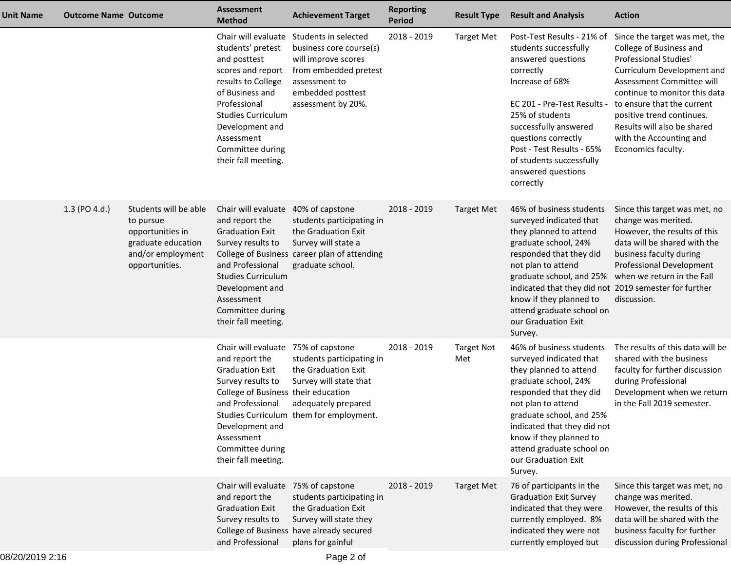| Unit Name | <b>Outcome Name Outcome</b> |                                                                                                                     | Assessment<br><b>Method</b>                                                                                                                                                                                                                 | <b>Achievement Target</b>                                                                                                                                                       | <b>Reporting</b><br><b>Period</b> | <b>Result Type</b>       | <b>Result and Analysis</b>                                                                                                                                                                                                                                                                                                            | <b>Action</b>                                                                                                                                                                                                                                                                                                                                       |
|-----------|-----------------------------|---------------------------------------------------------------------------------------------------------------------|---------------------------------------------------------------------------------------------------------------------------------------------------------------------------------------------------------------------------------------------|---------------------------------------------------------------------------------------------------------------------------------------------------------------------------------|-----------------------------------|--------------------------|---------------------------------------------------------------------------------------------------------------------------------------------------------------------------------------------------------------------------------------------------------------------------------------------------------------------------------------|-----------------------------------------------------------------------------------------------------------------------------------------------------------------------------------------------------------------------------------------------------------------------------------------------------------------------------------------------------|
|           |                             |                                                                                                                     | students' pretest<br>and posttest<br>scores and report<br>results to College<br>of Business and<br>Professional<br><b>Studies Curriculum</b><br>Development and<br>Assessment<br>Committee during<br>their fall meeting.                    | Chair will evaluate Students in selected<br>business core course(s)<br>will improve scores<br>from embedded pretest<br>assessment to<br>embedded posttest<br>assessment by 20%. | 2018 - 2019                       | Target Met               | students successfully<br>answered questions<br>correctly<br>Increase of 68%<br>EC 201 - Pre-Test Results -<br>25% of students<br>successfully answered<br>questions correctly<br>Post - Test Results - 65%<br>of students successfully<br>answered questions<br>correctly                                                             | Post-Test Results - 21% of Since the target was met, the<br>College of Business and<br>Professional Studies'<br>Curriculum Development and<br>Assessment Committee will<br>continue to monitor this data<br>to ensure that the current<br>positive trend continues.<br>Results will also be shared<br>with the Accounting and<br>Economics faculty. |
|           | 1.3 (PO 4.d.)               | Students will be able<br>to pursue<br>opportunities in<br>graduate education<br>and/or employment<br>opportunities. | Chair will evaluate 40% of capstone<br>and report the<br><b>Graduation Exit</b><br>Survey results to<br>and Professional<br><b>Studies Curriculum</b><br>Development and<br>Assessment<br>Committee during<br>their fall meeting.           | students participating in<br>the Graduation Exit<br>Survey will state a<br>College of Business career plan of attending<br>graduate school.                                     | 2018 - 2019                       | <b>Target Met</b>        | 46% of business students<br>surveyed indicated that<br>they planned to attend<br>graduate school, 24%<br>responded that they did<br>not plan to attend<br>graduate school, and 25%<br>indicated that they did not 2019 semester for further<br>know if they planned to<br>attend graduate school on<br>our Graduation Exit<br>Survey. | Since this target was met, no<br>change was merited.<br>However, the results of this<br>data will be shared with the<br>business faculty during<br>Professional Development<br>when we return in the Fall<br>discussion.                                                                                                                            |
|           |                             |                                                                                                                     | Chair will evaluate 75% of capstone<br>and report the<br><b>Graduation Exit</b><br>Survey results to<br>College of Business their education<br>and Professional<br>Development and<br>Assessment<br>Committee during<br>their fall meeting. | students participating in<br>the Graduation Exit<br>Survey will state that<br>adequately prepared<br>Studies Curriculum them for employment.                                    | 2018 - 2019                       | <b>Target Not</b><br>Met | 46% of business students<br>surveyed indicated that<br>they planned to attend<br>graduate school, 24%<br>responded that they did<br>not plan to attend<br>graduate school, and 25%<br>indicated that they did not<br>know if they planned to<br>attend graduate school on<br>our Graduation Exit<br>Survey.                           | The results of this data will be<br>shared with the business<br>faculty for further discussion<br>during Professional<br>Development when we return<br>in the Fall 2019 semester.                                                                                                                                                                   |
|           |                             |                                                                                                                     | Chair will evaluate 75% of capstone<br>and report the<br><b>Graduation Exit</b><br>Survey results to<br>and Professional                                                                                                                    | students participating in<br>the Graduation Exit<br>Survey will state they<br>College of Business have already secured<br>plans for gainful                                     | 2018 - 2019                       | <b>Target Met</b>        | 76 of participants in the<br><b>Graduation Exit Survey</b><br>indicated that they were<br>currently employed. 8%<br>indicated they were not<br>currently employed but                                                                                                                                                                 | Since this target was met, no<br>change was merited.<br>However, the results of this<br>data will be shared with the<br>business faculty for further<br>discussion during Professional                                                                                                                                                              |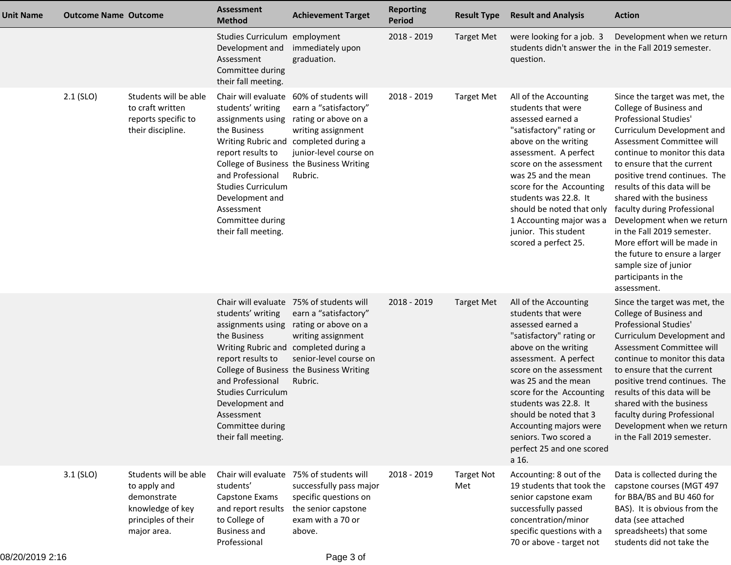| <b>Unit Name</b> | <b>Outcome Name Outcome</b> |                                                                                                                | <b>Assessment</b><br><b>Method</b>                                                                                                                                                                       | <b>Achievement Target</b>                                                                                                                                                                                                                 | <b>Reporting</b><br><b>Period</b> | <b>Result Type</b>       | <b>Result and Analysis</b>                                                                                                                                                                                                                                                                                                                                                                | <b>Action</b>                                                                                                                                                                                                                                                                                                                                                                                                                                                                                       |
|------------------|-----------------------------|----------------------------------------------------------------------------------------------------------------|----------------------------------------------------------------------------------------------------------------------------------------------------------------------------------------------------------|-------------------------------------------------------------------------------------------------------------------------------------------------------------------------------------------------------------------------------------------|-----------------------------------|--------------------------|-------------------------------------------------------------------------------------------------------------------------------------------------------------------------------------------------------------------------------------------------------------------------------------------------------------------------------------------------------------------------------------------|-----------------------------------------------------------------------------------------------------------------------------------------------------------------------------------------------------------------------------------------------------------------------------------------------------------------------------------------------------------------------------------------------------------------------------------------------------------------------------------------------------|
|                  |                             |                                                                                                                | Studies Curriculum employment<br>Development and<br>Assessment<br>Committee during<br>their fall meeting.                                                                                                | immediately upon<br>graduation.                                                                                                                                                                                                           | 2018 - 2019                       | <b>Target Met</b>        | were looking for a job. 3<br>students didn't answer the in the Fall 2019 semester.<br>question.                                                                                                                                                                                                                                                                                           | Development when we return                                                                                                                                                                                                                                                                                                                                                                                                                                                                          |
|                  | $2.1$ (SLO)                 | Students will be able<br>to craft written<br>reports specific to<br>their discipline.                          | students' writing<br>assignments using<br>the Business<br>report results to<br>and Professional<br><b>Studies Curriculum</b><br>Development and<br>Assessment<br>Committee during<br>their fall meeting. | Chair will evaluate 60% of students will<br>earn a "satisfactory"<br>rating or above on a<br>writing assignment<br>Writing Rubric and completed during a<br>junior-level course on<br>College of Business the Business Writing<br>Rubric. | 2018 - 2019                       | <b>Target Met</b>        | All of the Accounting<br>students that were<br>assessed earned a<br>"satisfactory" rating or<br>above on the writing<br>assessment. A perfect<br>score on the assessment<br>was 25 and the mean<br>score for the Accounting<br>students was 22.8. It<br>should be noted that only faculty during Professional<br>1 Accounting major was a<br>junior. This student<br>scored a perfect 25. | Since the target was met, the<br>College of Business and<br>Professional Studies'<br>Curriculum Development and<br>Assessment Committee will<br>continue to monitor this data<br>to ensure that the current<br>positive trend continues. The<br>results of this data will be<br>shared with the business<br>Development when we return<br>in the Fall 2019 semester.<br>More effort will be made in<br>the future to ensure a larger<br>sample size of junior<br>participants in the<br>assessment. |
|                  |                             |                                                                                                                | students' writing<br>assignments using<br>the Business<br>report results to<br>and Professional<br><b>Studies Curriculum</b><br>Development and<br>Assessment<br>Committee during<br>their fall meeting. | Chair will evaluate 75% of students will<br>earn a "satisfactory"<br>rating or above on a<br>writing assignment<br>Writing Rubric and completed during a<br>senior-level course on<br>College of Business the Business Writing<br>Rubric. | 2018 - 2019                       | <b>Target Met</b>        | All of the Accounting<br>students that were<br>assessed earned a<br>"satisfactory" rating or<br>above on the writing<br>assessment. A perfect<br>score on the assessment<br>was 25 and the mean<br>score for the Accounting<br>students was 22.8. It<br>should be noted that 3<br>Accounting majors were<br>seniors. Two scored a<br>perfect 25 and one scored<br>a 16.                   | Since the target was met, the<br>College of Business and<br><b>Professional Studies'</b><br>Curriculum Development and<br>Assessment Committee will<br>continue to monitor this data<br>to ensure that the current<br>positive trend continues. The<br>results of this data will be<br>shared with the business<br>faculty during Professional<br>Development when we return<br>in the Fall 2019 semester.                                                                                          |
|                  | $3.1$ (SLO)                 | Students will be able<br>to apply and<br>demonstrate<br>knowledge of key<br>principles of their<br>major area. | Chair will evaluate<br>students'<br>Capstone Exams<br>and report results<br>to College of<br><b>Business and</b><br>Professional                                                                         | 75% of students will<br>successfully pass major<br>specific questions on<br>the senior capstone<br>exam with a 70 or<br>above.                                                                                                            | 2018 - 2019                       | <b>Target Not</b><br>Met | Accounting: 8 out of the<br>19 students that took the<br>senior capstone exam<br>successfully passed<br>concentration/minor<br>specific questions with a<br>70 or above - target not                                                                                                                                                                                                      | Data is collected during the<br>capstone courses (MGT 497<br>for BBA/BS and BU 460 for<br>BAS). It is obvious from the<br>data (see attached<br>spreadsheets) that some<br>students did not take the                                                                                                                                                                                                                                                                                                |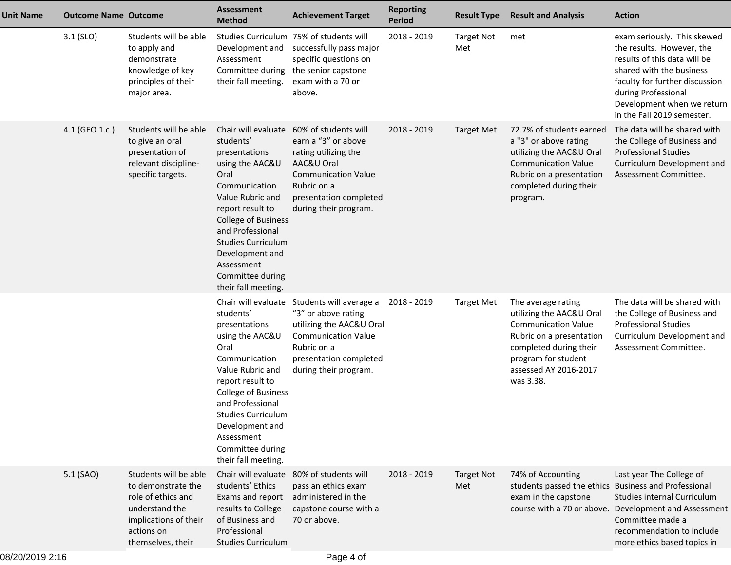| <b>Unit Name</b> | <b>Outcome Name Outcome</b> |                                                                                                                                                 | <b>Assessment</b><br><b>Method</b>                                                                                                                                                                                                                                                               | <b>Achievement Target</b>                                                                                                                                                         | <b>Reporting</b><br><b>Period</b> | <b>Result Type</b>       | <b>Result and Analysis</b>                                                                                                                                                                      | <b>Action</b>                                                                                                                                                                                                                             |
|------------------|-----------------------------|-------------------------------------------------------------------------------------------------------------------------------------------------|--------------------------------------------------------------------------------------------------------------------------------------------------------------------------------------------------------------------------------------------------------------------------------------------------|-----------------------------------------------------------------------------------------------------------------------------------------------------------------------------------|-----------------------------------|--------------------------|-------------------------------------------------------------------------------------------------------------------------------------------------------------------------------------------------|-------------------------------------------------------------------------------------------------------------------------------------------------------------------------------------------------------------------------------------------|
|                  | $3.1$ (SLO)                 | Students will be able<br>to apply and<br>demonstrate<br>knowledge of key<br>principles of their<br>major area.                                  | Development and<br>Assessment<br>Committee during<br>their fall meeting.                                                                                                                                                                                                                         | Studies Curriculum 75% of students will<br>successfully pass major<br>specific questions on<br>the senior capstone<br>exam with a 70 or<br>above.                                 | 2018 - 2019                       | <b>Target Not</b><br>Met | met                                                                                                                                                                                             | exam seriously. This skewed<br>the results. However, the<br>results of this data will be<br>shared with the business<br>faculty for further discussion<br>during Professional<br>Development when we return<br>in the Fall 2019 semester. |
|                  | 4.1 (GEO 1.c.)              | Students will be able<br>to give an oral<br>presentation of<br>relevant discipline-<br>specific targets.                                        | Chair will evaluate<br>students'<br>presentations<br>using the AAC&U<br>Oral<br>Communication<br>Value Rubric and<br>report result to<br><b>College of Business</b><br>and Professional<br><b>Studies Curriculum</b><br>Development and<br>Assessment<br>Committee during<br>their fall meeting. | 60% of students will<br>earn a "3" or above<br>rating utilizing the<br>AAC&U Oral<br><b>Communication Value</b><br>Rubric on a<br>presentation completed<br>during their program. | 2018 - 2019                       | <b>Target Met</b>        | 72.7% of students earned<br>a "3" or above rating<br>utilizing the AAC&U Oral<br><b>Communication Value</b><br>Rubric on a presentation<br>completed during their<br>program.                   | The data will be shared with<br>the College of Business and<br><b>Professional Studies</b><br>Curriculum Development and<br>Assessment Committee.                                                                                         |
|                  |                             |                                                                                                                                                 | Chair will evaluate<br>students'<br>presentations<br>using the AAC&U<br>Oral<br>Communication<br>Value Rubric and<br>report result to<br><b>College of Business</b><br>and Professional<br>Studies Curriculum<br>Development and<br>Assessment<br>Committee during<br>their fall meeting.        | Students will average a<br>"3" or above rating<br>utilizing the AAC&U Oral<br><b>Communication Value</b><br>Rubric on a<br>presentation completed<br>during their program.        | 2018 - 2019                       | <b>Target Met</b>        | The average rating<br>utilizing the AAC&U Oral<br><b>Communication Value</b><br>Rubric on a presentation<br>completed during their<br>program for student<br>assessed AY 2016-2017<br>was 3.38. | The data will be shared with<br>the College of Business and<br><b>Professional Studies</b><br>Curriculum Development and<br>Assessment Committee.                                                                                         |
|                  | 5.1 (SAO)                   | Students will be able<br>to demonstrate the<br>role of ethics and<br>understand the<br>implications of their<br>actions on<br>themselves, their | Chair will evaluate<br>students' Ethics<br>Exams and report<br>results to College<br>of Business and<br>Professional<br><b>Studies Curriculum</b>                                                                                                                                                | 80% of students will<br>pass an ethics exam<br>administered in the<br>capstone course with a<br>70 or above.                                                                      | 2018 - 2019                       | <b>Target Not</b><br>Met | 74% of Accounting<br>students passed the ethics Business and Professional<br>exam in the capstone                                                                                               | Last year The College of<br>Studies internal Curriculum<br>course with a 70 or above. Development and Assessment<br>Committee made a<br>recommendation to include<br>more ethics based topics in                                          |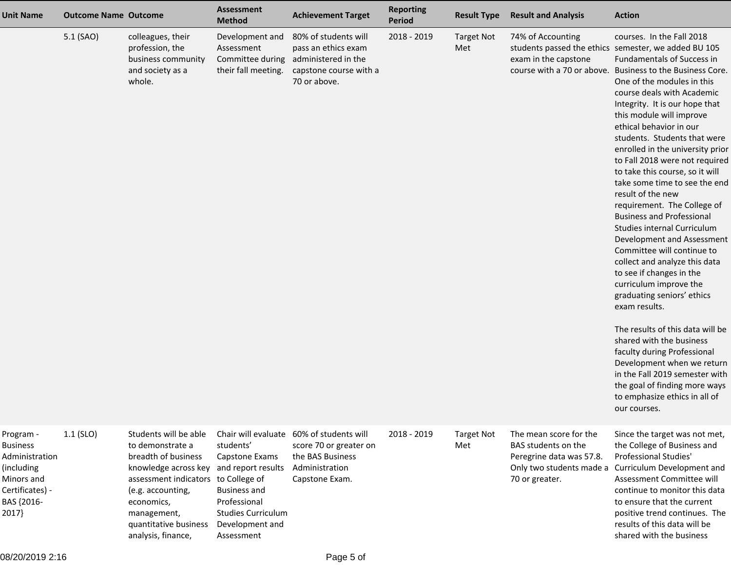| <b>Unit Name</b>                                                                                                     | <b>Outcome Name Outcome</b> |                                                                                                                                                                                                                                  | <b>Assessment</b><br><b>Method</b>                                                                                                                     | <b>Achievement Target</b>                                                                                                  | <b>Reporting</b><br><b>Period</b> | <b>Result Type</b>       | <b>Result and Analysis</b>                                                                  | <b>Action</b>                                                                                                                                                                                                                                                                                                                                                                                                                                                                                                                                                                                                                                                                                                                                                                                                                                                                                                                                                                                                                                                                         |
|----------------------------------------------------------------------------------------------------------------------|-----------------------------|----------------------------------------------------------------------------------------------------------------------------------------------------------------------------------------------------------------------------------|--------------------------------------------------------------------------------------------------------------------------------------------------------|----------------------------------------------------------------------------------------------------------------------------|-----------------------------------|--------------------------|---------------------------------------------------------------------------------------------|---------------------------------------------------------------------------------------------------------------------------------------------------------------------------------------------------------------------------------------------------------------------------------------------------------------------------------------------------------------------------------------------------------------------------------------------------------------------------------------------------------------------------------------------------------------------------------------------------------------------------------------------------------------------------------------------------------------------------------------------------------------------------------------------------------------------------------------------------------------------------------------------------------------------------------------------------------------------------------------------------------------------------------------------------------------------------------------|
|                                                                                                                      | 5.1 (SAO)                   | colleagues, their<br>profession, the<br>business community<br>and society as a<br>whole.                                                                                                                                         | Development and<br>Assessment<br>Committee during<br>their fall meeting.                                                                               | 80% of students will<br>pass an ethics exam<br>administered in the<br>capstone course with a<br>70 or above.               | 2018 - 2019                       | <b>Target Not</b><br>Met | 74% of Accounting<br>exam in the capstone                                                   | courses. In the Fall 2018<br>students passed the ethics semester, we added BU 105<br>Fundamentals of Success in<br>course with a 70 or above. Business to the Business Core.<br>One of the modules in this<br>course deals with Academic<br>Integrity. It is our hope that<br>this module will improve<br>ethical behavior in our<br>students. Students that were<br>enrolled in the university prior<br>to Fall 2018 were not required<br>to take this course, so it will<br>take some time to see the end<br>result of the new<br>requirement. The College of<br><b>Business and Professional</b><br>Studies internal Curriculum<br>Development and Assessment<br>Committee will continue to<br>collect and analyze this data<br>to see if changes in the<br>curriculum improve the<br>graduating seniors' ethics<br>exam results.<br>The results of this data will be<br>shared with the business<br>faculty during Professional<br>Development when we return<br>in the Fall 2019 semester with<br>the goal of finding more ways<br>to emphasize ethics in all of<br>our courses. |
| Program -<br><b>Business</b><br>Administration<br>(including<br>Minors and<br>Certificates) -<br>BAS {2016-<br>2017} | $1.1$ (SLO)                 | Students will be able<br>to demonstrate a<br>breadth of business<br>knowledge across key<br>assessment indicators to College of<br>(e.g. accounting,<br>economics,<br>management,<br>quantitative business<br>analysis, finance, | students'<br>Capstone Exams<br>and report results<br><b>Business and</b><br>Professional<br><b>Studies Curriculum</b><br>Development and<br>Assessment | Chair will evaluate 60% of students will<br>score 70 or greater on<br>the BAS Business<br>Administration<br>Capstone Exam. | 2018 - 2019                       | <b>Target Not</b><br>Met | The mean score for the<br>BAS students on the<br>Peregrine data was 57.8.<br>70 or greater. | Since the target was not met,<br>the College of Business and<br>Professional Studies'<br>Only two students made a Curriculum Development and<br>Assessment Committee will<br>continue to monitor this data<br>to ensure that the current<br>positive trend continues. The<br>results of this data will be<br>shared with the business                                                                                                                                                                                                                                                                                                                                                                                                                                                                                                                                                                                                                                                                                                                                                 |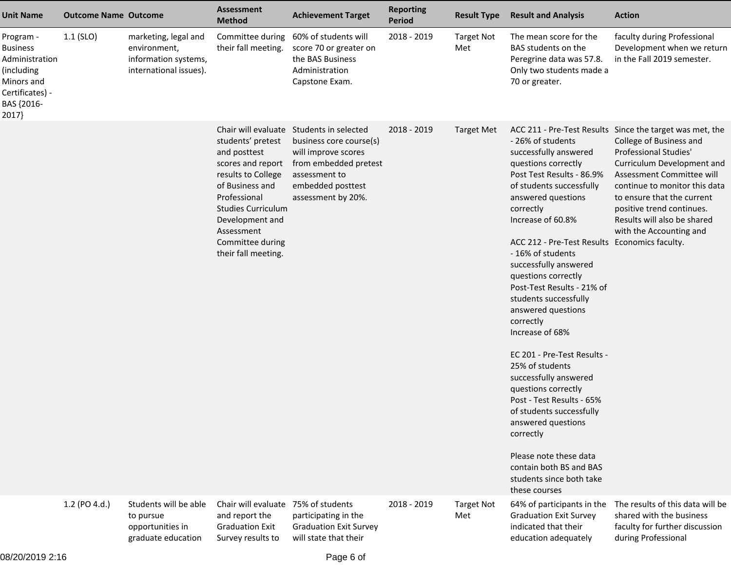| <b>Unit Name</b>                                                                                                     | <b>Outcome Name Outcome</b> |                                                                                        | <b>Assessment</b><br><b>Method</b>                                                                                                                                                                                       | <b>Achievement Target</b>                                                                                                                                                       | <b>Reporting</b><br><b>Period</b> | <b>Result Type</b>       | <b>Result and Analysis</b>                                                                                                                                                                                                                                                                                                                                                                                                                                                                                                                                                                                                                                                                                            | <b>Action</b>                                                                                                                                                                                                                                                                                                                        |
|----------------------------------------------------------------------------------------------------------------------|-----------------------------|----------------------------------------------------------------------------------------|--------------------------------------------------------------------------------------------------------------------------------------------------------------------------------------------------------------------------|---------------------------------------------------------------------------------------------------------------------------------------------------------------------------------|-----------------------------------|--------------------------|-----------------------------------------------------------------------------------------------------------------------------------------------------------------------------------------------------------------------------------------------------------------------------------------------------------------------------------------------------------------------------------------------------------------------------------------------------------------------------------------------------------------------------------------------------------------------------------------------------------------------------------------------------------------------------------------------------------------------|--------------------------------------------------------------------------------------------------------------------------------------------------------------------------------------------------------------------------------------------------------------------------------------------------------------------------------------|
| Program -<br><b>Business</b><br>Administration<br>(including<br>Minors and<br>Certificates) -<br>BAS {2016-<br>2017} | $1.1$ (SLO)                 | marketing, legal and<br>environment,<br>information systems,<br>international issues). | Committee during<br>their fall meeting.                                                                                                                                                                                  | 60% of students will<br>score 70 or greater on<br>the BAS Business<br>Administration<br>Capstone Exam.                                                                          | 2018 - 2019                       | <b>Target Not</b><br>Met | The mean score for the<br>BAS students on the<br>Peregrine data was 57.8.<br>Only two students made a<br>70 or greater.                                                                                                                                                                                                                                                                                                                                                                                                                                                                                                                                                                                               | faculty during Professional<br>Development when we return<br>in the Fall 2019 semester.                                                                                                                                                                                                                                              |
|                                                                                                                      |                             |                                                                                        | students' pretest<br>and posttest<br>scores and report<br>results to College<br>of Business and<br>Professional<br><b>Studies Curriculum</b><br>Development and<br>Assessment<br>Committee during<br>their fall meeting. | Chair will evaluate Students in selected<br>business core course(s)<br>will improve scores<br>from embedded pretest<br>assessment to<br>embedded posttest<br>assessment by 20%. | 2018 - 2019                       | Target Met               | - 26% of students<br>successfully answered<br>questions correctly<br>Post Test Results - 86.9%<br>of students successfully<br>answered questions<br>correctly<br>Increase of 60.8%<br>ACC 212 - Pre-Test Results Economics faculty.<br>- 16% of students<br>successfully answered<br>questions correctly<br>Post-Test Results - 21% of<br>students successfully<br>answered questions<br>correctly<br>Increase of 68%<br>EC 201 - Pre-Test Results -<br>25% of students<br>successfully answered<br>questions correctly<br>Post - Test Results - 65%<br>of students successfully<br>answered questions<br>correctly<br>Please note these data<br>contain both BS and BAS<br>students since both take<br>these courses | ACC 211 - Pre-Test Results Since the target was met, the<br>College of Business and<br><b>Professional Studies'</b><br>Curriculum Development and<br>Assessment Committee will<br>continue to monitor this data<br>to ensure that the current<br>positive trend continues.<br>Results will also be shared<br>with the Accounting and |
|                                                                                                                      | 1.2 (PO 4.d.)               | Students will be able<br>to pursue<br>opportunities in<br>graduate education           | Chair will evaluate 75% of students<br>and report the<br><b>Graduation Exit</b><br>Survey results to                                                                                                                     | participating in the<br><b>Graduation Exit Survey</b><br>will state that their                                                                                                  | 2018 - 2019                       | <b>Target Not</b><br>Met | 64% of participants in the<br><b>Graduation Exit Survey</b><br>indicated that their<br>education adequately                                                                                                                                                                                                                                                                                                                                                                                                                                                                                                                                                                                                           | The results of this data will be<br>shared with the business<br>faculty for further discussion<br>during Professional                                                                                                                                                                                                                |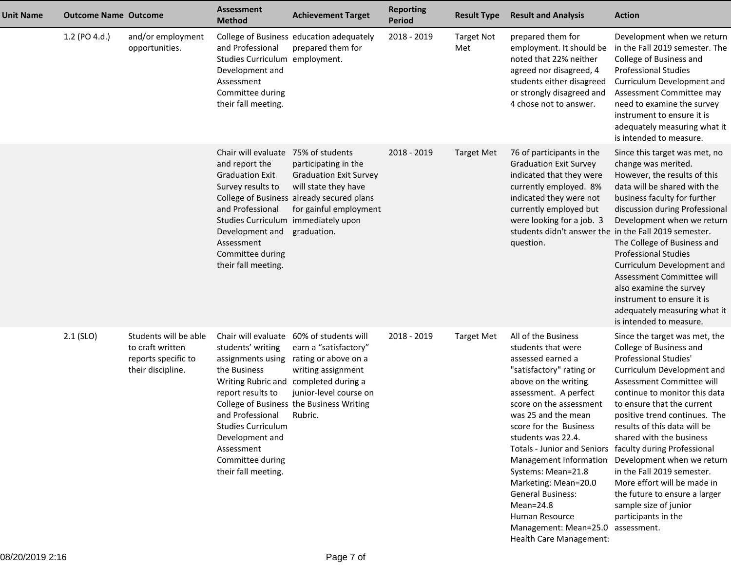| <b>Unit Name</b> | <b>Outcome Name Outcome</b> |                                                                                       | <b>Assessment</b><br><b>Method</b>                                                                                                                                                                                                          | <b>Achievement Target</b>                                                                                                                                                                                             | <b>Reporting</b><br><b>Period</b> | <b>Result Type</b>       | <b>Result and Analysis</b>                                                                                                                                                                                                                                                                                                                                                                                                                                                                                      | <b>Action</b>                                                                                                                                                                                                                                                                                                                                                                                                                                                                        |
|------------------|-----------------------------|---------------------------------------------------------------------------------------|---------------------------------------------------------------------------------------------------------------------------------------------------------------------------------------------------------------------------------------------|-----------------------------------------------------------------------------------------------------------------------------------------------------------------------------------------------------------------------|-----------------------------------|--------------------------|-----------------------------------------------------------------------------------------------------------------------------------------------------------------------------------------------------------------------------------------------------------------------------------------------------------------------------------------------------------------------------------------------------------------------------------------------------------------------------------------------------------------|--------------------------------------------------------------------------------------------------------------------------------------------------------------------------------------------------------------------------------------------------------------------------------------------------------------------------------------------------------------------------------------------------------------------------------------------------------------------------------------|
|                  | 1.2 (PO 4.d.)               | and/or employment<br>opportunities.                                                   | and Professional<br>Studies Curriculum employment.<br>Development and<br>Assessment<br>Committee during<br>their fall meeting.                                                                                                              | College of Business education adequately<br>prepared them for                                                                                                                                                         | 2018 - 2019                       | <b>Target Not</b><br>Met | prepared them for<br>employment. It should be<br>noted that 22% neither<br>agreed nor disagreed, 4<br>students either disagreed<br>or strongly disagreed and<br>4 chose not to answer.                                                                                                                                                                                                                                                                                                                          | Development when we return<br>in the Fall 2019 semester. The<br>College of Business and<br><b>Professional Studies</b><br>Curriculum Development and<br>Assessment Committee may<br>need to examine the survey<br>instrument to ensure it is<br>adequately measuring what it<br>is intended to measure.                                                                                                                                                                              |
|                  |                             |                                                                                       | Chair will evaluate 75% of students<br>and report the<br><b>Graduation Exit</b><br>Survey results to<br>and Professional<br>Studies Curriculum immediately upon<br>Development and<br>Assessment<br>Committee during<br>their fall meeting. | participating in the<br><b>Graduation Exit Survey</b><br>will state they have<br>College of Business already secured plans<br>for gainful employment<br>graduation.                                                   | 2018 - 2019                       | <b>Target Met</b>        | 76 of participants in the<br><b>Graduation Exit Survey</b><br>indicated that they were<br>currently employed. 8%<br>indicated they were not<br>currently employed but<br>were looking for a job. 3<br>students didn't answer the in the Fall 2019 semester.<br>question.                                                                                                                                                                                                                                        | Since this target was met, no<br>change was merited.<br>However, the results of this<br>data will be shared with the<br>business faculty for further<br>discussion during Professional<br>Development when we return<br>The College of Business and<br><b>Professional Studies</b><br>Curriculum Development and<br>Assessment Committee will<br>also examine the survey<br>instrument to ensure it is<br>adequately measuring what it<br>is intended to measure.                    |
|                  | $2.1$ (SLO)                 | Students will be able<br>to craft written<br>reports specific to<br>their discipline. | Chair will evaluate<br>students' writing<br>assignments using<br>the Business<br>report results to<br>and Professional<br><b>Studies Curriculum</b><br>Development and<br>Assessment<br>Committee during<br>their fall meeting.             | 60% of students will<br>earn a "satisfactory"<br>rating or above on a<br>writing assignment<br>Writing Rubric and completed during a<br>junior-level course on<br>College of Business the Business Writing<br>Rubric. | 2018 - 2019                       | <b>Target Met</b>        | All of the Business<br>students that were<br>assessed earned a<br>"satisfactory" rating or<br>above on the writing<br>assessment. A perfect<br>score on the assessment<br>was 25 and the mean<br>score for the Business<br>students was 22.4.<br>Totals - Junior and Seniors faculty during Professional<br>Management Information<br>Systems: Mean=21.8<br>Marketing: Mean=20.0<br><b>General Business:</b><br>$Mean = 24.8$<br>Human Resource<br>Management: Mean=25.0 assessment.<br>Health Care Management: | Since the target was met, the<br>College of Business and<br>Professional Studies'<br>Curriculum Development and<br>Assessment Committee will<br>continue to monitor this data<br>to ensure that the current<br>positive trend continues. The<br>results of this data will be<br>shared with the business<br>Development when we return<br>in the Fall 2019 semester.<br>More effort will be made in<br>the future to ensure a larger<br>sample size of junior<br>participants in the |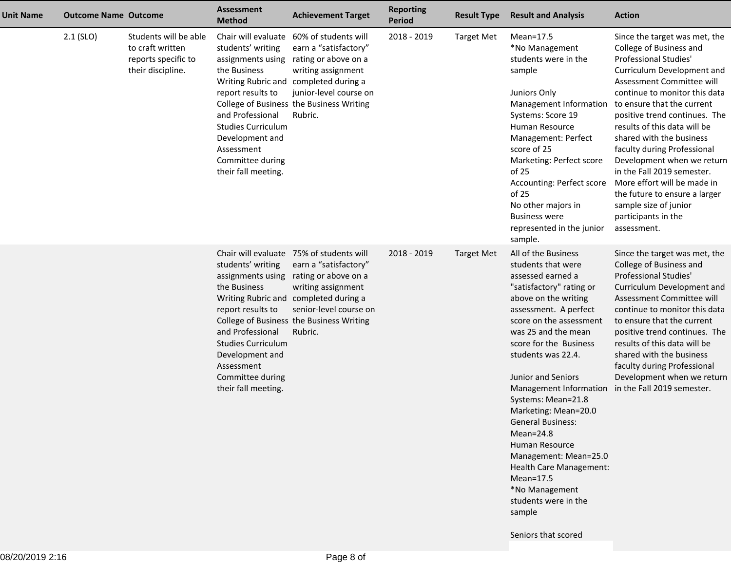| <b>Unit Name</b> | <b>Outcome Name Outcome</b> |                                                                                       | <b>Assessment</b><br><b>Method</b>                                                                                                                                                                       | <b>Achievement Target</b>                                                                                                                                                                                                                 | <b>Reporting</b><br><b>Period</b> | <b>Result Type</b> | <b>Result and Analysis</b>                                                                                                                                                                                                                                                                                                                                                                                                                                                                                                                                      | <b>Action</b>                                                                                                                                                                                                                                                                                                                                                                                                                                                                                                                      |
|------------------|-----------------------------|---------------------------------------------------------------------------------------|----------------------------------------------------------------------------------------------------------------------------------------------------------------------------------------------------------|-------------------------------------------------------------------------------------------------------------------------------------------------------------------------------------------------------------------------------------------|-----------------------------------|--------------------|-----------------------------------------------------------------------------------------------------------------------------------------------------------------------------------------------------------------------------------------------------------------------------------------------------------------------------------------------------------------------------------------------------------------------------------------------------------------------------------------------------------------------------------------------------------------|------------------------------------------------------------------------------------------------------------------------------------------------------------------------------------------------------------------------------------------------------------------------------------------------------------------------------------------------------------------------------------------------------------------------------------------------------------------------------------------------------------------------------------|
|                  | $2.1$ (SLO)                 | Students will be able<br>to craft written<br>reports specific to<br>their discipline. | students' writing<br>assignments using<br>the Business<br>report results to<br>and Professional<br><b>Studies Curriculum</b><br>Development and<br>Assessment<br>Committee during<br>their fall meeting. | Chair will evaluate 60% of students will<br>earn a "satisfactory"<br>rating or above on a<br>writing assignment<br>Writing Rubric and completed during a<br>junior-level course on<br>College of Business the Business Writing<br>Rubric. | 2018 - 2019                       | <b>Target Met</b>  | $Mean=17.5$<br>*No Management<br>students were in the<br>sample<br>Juniors Only<br>Management Information<br>Systems: Score 19<br><b>Human Resource</b><br>Management: Perfect<br>score of 25<br>Marketing: Perfect score<br>of 25<br>Accounting: Perfect score<br>of 25<br>No other majors in<br><b>Business were</b><br>represented in the junior<br>sample.                                                                                                                                                                                                  | Since the target was met, the<br>College of Business and<br>Professional Studies'<br>Curriculum Development and<br>Assessment Committee will<br>continue to monitor this data<br>to ensure that the current<br>positive trend continues. The<br>results of this data will be<br>shared with the business<br>faculty during Professional<br>Development when we return<br>in the Fall 2019 semester.<br>More effort will be made in<br>the future to ensure a larger<br>sample size of junior<br>participants in the<br>assessment. |
|                  |                             |                                                                                       | students' writing<br>assignments using<br>the Business<br>report results to<br>and Professional<br><b>Studies Curriculum</b><br>Development and<br>Assessment<br>Committee during<br>their fall meeting. | Chair will evaluate 75% of students will<br>earn a "satisfactory"<br>rating or above on a<br>writing assignment<br>Writing Rubric and completed during a<br>senior-level course on<br>College of Business the Business Writing<br>Rubric. | 2018 - 2019                       | <b>Target Met</b>  | All of the Business<br>students that were<br>assessed earned a<br>"satisfactory" rating or<br>above on the writing<br>assessment. A perfect<br>score on the assessment<br>was 25 and the mean<br>score for the Business<br>students was 22.4.<br>Junior and Seniors<br>Management Information<br>Systems: Mean=21.8<br>Marketing: Mean=20.0<br><b>General Business:</b><br>$Mean = 24.8$<br><b>Human Resource</b><br>Management: Mean=25.0<br>Health Care Management:<br>$Mean=17.5$<br>*No Management<br>students were in the<br>sample<br>Seniors that scored | Since the target was met, the<br>College of Business and<br><b>Professional Studies'</b><br>Curriculum Development and<br>Assessment Committee will<br>continue to monitor this data<br>to ensure that the current<br>positive trend continues. The<br>results of this data will be<br>shared with the business<br>faculty during Professional<br>Development when we return<br>in the Fall 2019 semester.                                                                                                                         |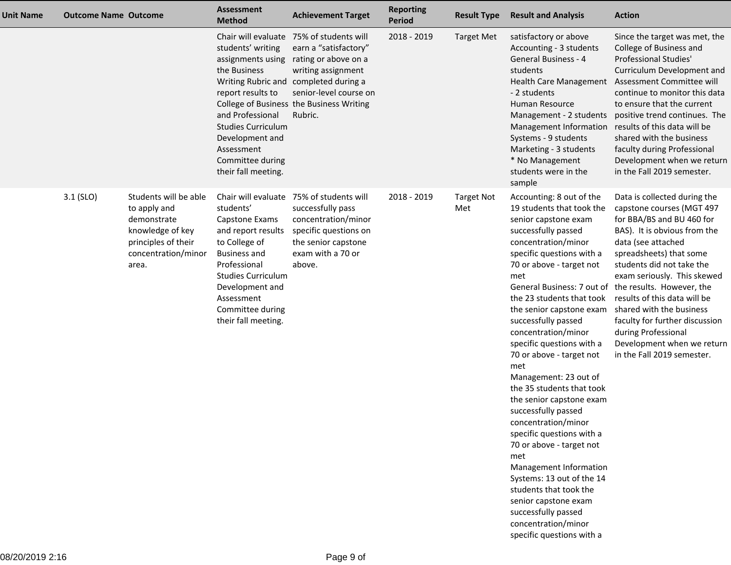| <b>Unit Name</b> | <b>Outcome Name Outcome</b> |                                                                                                                                 | <b>Assessment</b><br><b>Method</b>                                                                                                                                                                                 | <b>Achievement Target</b>                                                                                                                                                                                                                 | <b>Reporting</b><br>Period | <b>Result Type</b>       | <b>Result and Analysis</b>                                                                                                                                                                                                                                                                                                                                                                                                                                                                                                                                                                                                                                                                                                                                                                                     | <b>Action</b>                                                                                                                                                                                                                                                                                                                                                                                                        |
|------------------|-----------------------------|---------------------------------------------------------------------------------------------------------------------------------|--------------------------------------------------------------------------------------------------------------------------------------------------------------------------------------------------------------------|-------------------------------------------------------------------------------------------------------------------------------------------------------------------------------------------------------------------------------------------|----------------------------|--------------------------|----------------------------------------------------------------------------------------------------------------------------------------------------------------------------------------------------------------------------------------------------------------------------------------------------------------------------------------------------------------------------------------------------------------------------------------------------------------------------------------------------------------------------------------------------------------------------------------------------------------------------------------------------------------------------------------------------------------------------------------------------------------------------------------------------------------|----------------------------------------------------------------------------------------------------------------------------------------------------------------------------------------------------------------------------------------------------------------------------------------------------------------------------------------------------------------------------------------------------------------------|
|                  |                             |                                                                                                                                 | students' writing<br>assignments using<br>the Business<br>report results to<br>and Professional<br><b>Studies Curriculum</b><br>Development and<br>Assessment<br>Committee during<br>their fall meeting.           | Chair will evaluate 75% of students will<br>earn a "satisfactory"<br>rating or above on a<br>writing assignment<br>Writing Rubric and completed during a<br>senior-level course on<br>College of Business the Business Writing<br>Rubric. | 2018 - 2019                | <b>Target Met</b>        | satisfactory or above<br>Accounting - 3 students<br><b>General Business - 4</b><br>students<br><b>Health Care Management</b><br>- 2 students<br>Human Resource<br>Management - 2 students<br>Management Information<br>Systems - 9 students<br>Marketing - 3 students<br>* No Management<br>students were in the<br>sample                                                                                                                                                                                                                                                                                                                                                                                                                                                                                     | Since the target was met, the<br>College of Business and<br>Professional Studies'<br>Curriculum Development and<br>Assessment Committee will<br>continue to monitor this data<br>to ensure that the current<br>positive trend continues. The<br>results of this data will be<br>shared with the business<br>faculty during Professional<br>Development when we return<br>in the Fall 2019 semester.                  |
|                  | 3.1 (SLO)                   | Students will be able<br>to apply and<br>demonstrate<br>knowledge of key<br>principles of their<br>concentration/minor<br>area. | students'<br>Capstone Exams<br>and report results<br>to College of<br><b>Business and</b><br>Professional<br><b>Studies Curriculum</b><br>Development and<br>Assessment<br>Committee during<br>their fall meeting. | Chair will evaluate 75% of students will<br>successfully pass<br>concentration/minor<br>specific questions on<br>the senior capstone<br>exam with a 70 or<br>above.                                                                       | 2018 - 2019                | <b>Target Not</b><br>Met | Accounting: 8 out of the<br>19 students that took the<br>senior capstone exam<br>successfully passed<br>concentration/minor<br>specific questions with a<br>70 or above - target not<br>met<br>General Business: 7 out of the results. However, the<br>the 23 students that took<br>the senior capstone exam<br>successfully passed<br>concentration/minor<br>specific questions with a<br>70 or above - target not<br>met<br>Management: 23 out of<br>the 35 students that took<br>the senior capstone exam<br>successfully passed<br>concentration/minor<br>specific questions with a<br>70 or above - target not<br>met<br>Management Information<br>Systems: 13 out of the 14<br>students that took the<br>senior capstone exam<br>successfully passed<br>concentration/minor<br>specific questions with a | Data is collected during the<br>capstone courses (MGT 497<br>for BBA/BS and BU 460 for<br>BAS). It is obvious from the<br>data (see attached<br>spreadsheets) that some<br>students did not take the<br>exam seriously. This skewed<br>results of this data will be<br>shared with the business<br>faculty for further discussion<br>during Professional<br>Development when we return<br>in the Fall 2019 semester. |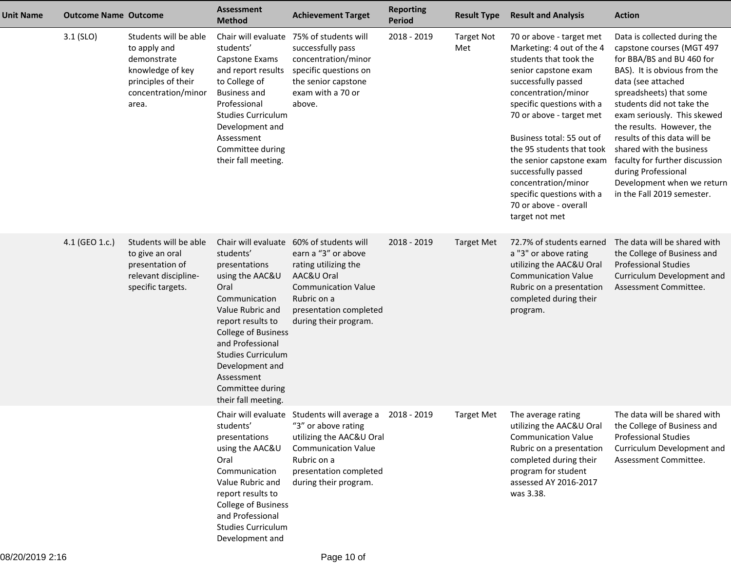| <b>Unit Name</b> | <b>Outcome Name Outcome</b> |                                                                                                                                 | <b>Assessment</b><br><b>Method</b>                                                                                                                                                                                                                                         | <b>Achievement Target</b>                                                                                                                                                                             | <b>Reporting</b><br><b>Period</b> | <b>Result Type</b>       | <b>Result and Analysis</b>                                                                                                                                                                                                                                                                                                                                                                                                 | <b>Action</b>                                                                                                                                                                                                                                                                                                                                                                                                                                     |
|------------------|-----------------------------|---------------------------------------------------------------------------------------------------------------------------------|----------------------------------------------------------------------------------------------------------------------------------------------------------------------------------------------------------------------------------------------------------------------------|-------------------------------------------------------------------------------------------------------------------------------------------------------------------------------------------------------|-----------------------------------|--------------------------|----------------------------------------------------------------------------------------------------------------------------------------------------------------------------------------------------------------------------------------------------------------------------------------------------------------------------------------------------------------------------------------------------------------------------|---------------------------------------------------------------------------------------------------------------------------------------------------------------------------------------------------------------------------------------------------------------------------------------------------------------------------------------------------------------------------------------------------------------------------------------------------|
|                  | $3.1$ (SLO)                 | Students will be able<br>to apply and<br>demonstrate<br>knowledge of key<br>principles of their<br>concentration/minor<br>area. | Chair will evaluate<br>students'<br>Capstone Exams<br>and report results<br>to College of<br><b>Business and</b><br>Professional<br><b>Studies Curriculum</b><br>Development and<br>Assessment<br>Committee during<br>their fall meeting.                                  | 75% of students will<br>successfully pass<br>concentration/minor<br>specific questions on<br>the senior capstone<br>exam with a 70 or<br>above.                                                       | 2018 - 2019                       | <b>Target Not</b><br>Met | 70 or above - target met<br>Marketing: 4 out of the 4<br>students that took the<br>senior capstone exam<br>successfully passed<br>concentration/minor<br>specific questions with a<br>70 or above - target met<br>Business total: 55 out of<br>the 95 students that took<br>the senior capstone exam<br>successfully passed<br>concentration/minor<br>specific questions with a<br>70 or above - overall<br>target not met | Data is collected during the<br>capstone courses (MGT 497<br>for BBA/BS and BU 460 for<br>BAS). It is obvious from the<br>data (see attached<br>spreadsheets) that some<br>students did not take the<br>exam seriously. This skewed<br>the results. However, the<br>results of this data will be<br>shared with the business<br>faculty for further discussion<br>during Professional<br>Development when we return<br>in the Fall 2019 semester. |
|                  | 4.1 (GEO 1.c.)              | Students will be able<br>to give an oral<br>presentation of<br>relevant discipline-<br>specific targets.                        | students'<br>presentations<br>using the AAC&U<br>Oral<br>Communication<br>Value Rubric and<br>report results to<br><b>College of Business</b><br>and Professional<br><b>Studies Curriculum</b><br>Development and<br>Assessment<br>Committee during<br>their fall meeting. | Chair will evaluate 60% of students will<br>earn a "3" or above<br>rating utilizing the<br>AAC&U Oral<br><b>Communication Value</b><br>Rubric on a<br>presentation completed<br>during their program. | 2018 - 2019                       | <b>Target Met</b>        | 72.7% of students earned<br>a "3" or above rating<br>utilizing the AAC&U Oral<br><b>Communication Value</b><br>Rubric on a presentation<br>completed during their<br>program.                                                                                                                                                                                                                                              | The data will be shared with<br>the College of Business and<br><b>Professional Studies</b><br>Curriculum Development and<br>Assessment Committee.                                                                                                                                                                                                                                                                                                 |
|                  |                             |                                                                                                                                 | students'<br>presentations<br>using the AAC&U<br>Oral<br>Communication<br>Value Rubric and<br>report results to<br>College of Business<br>and Professional<br><b>Studies Curriculum</b><br>Development and                                                                 | Chair will evaluate Students will average a<br>"3" or above rating<br>utilizing the AAC&U Oral<br><b>Communication Value</b><br>Rubric on a<br>presentation completed<br>during their program.        | 2018 - 2019                       | <b>Target Met</b>        | The average rating<br>utilizing the AAC&U Oral<br><b>Communication Value</b><br>Rubric on a presentation<br>completed during their<br>program for student<br>assessed AY 2016-2017<br>was 3.38.                                                                                                                                                                                                                            | The data will be shared with<br>the College of Business and<br><b>Professional Studies</b><br>Curriculum Development and<br>Assessment Committee.                                                                                                                                                                                                                                                                                                 |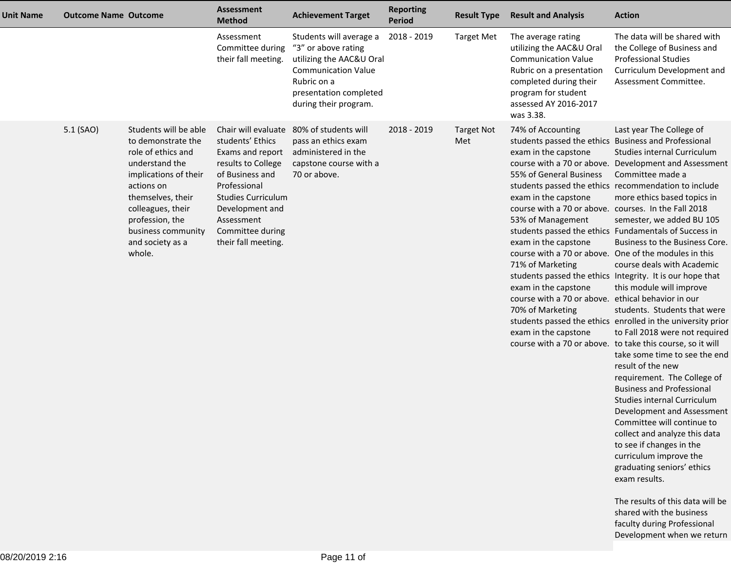| <b>Unit Name</b> | <b>Outcome Name Outcome</b> |                                                                                                                                                                                                                                             | <b>Assessment</b><br><b>Method</b>                                                                                                                                                                     | <b>Achievement Target</b>                                                                                                                                                  | <b>Reporting</b><br><b>Period</b> | <b>Result Type</b>       | <b>Result and Analysis</b>                                                                                                                                                                                                                                                                                                                                                                              | <b>Action</b>                                                                                                                                                                                                                                                                                                                                                                                                                                                                                                                                                                                                                                                                                                                                                                                                                                                                                                                                                                                                                                                                                                                                                                                                             |
|------------------|-----------------------------|---------------------------------------------------------------------------------------------------------------------------------------------------------------------------------------------------------------------------------------------|--------------------------------------------------------------------------------------------------------------------------------------------------------------------------------------------------------|----------------------------------------------------------------------------------------------------------------------------------------------------------------------------|-----------------------------------|--------------------------|---------------------------------------------------------------------------------------------------------------------------------------------------------------------------------------------------------------------------------------------------------------------------------------------------------------------------------------------------------------------------------------------------------|---------------------------------------------------------------------------------------------------------------------------------------------------------------------------------------------------------------------------------------------------------------------------------------------------------------------------------------------------------------------------------------------------------------------------------------------------------------------------------------------------------------------------------------------------------------------------------------------------------------------------------------------------------------------------------------------------------------------------------------------------------------------------------------------------------------------------------------------------------------------------------------------------------------------------------------------------------------------------------------------------------------------------------------------------------------------------------------------------------------------------------------------------------------------------------------------------------------------------|
|                  |                             |                                                                                                                                                                                                                                             | Assessment<br>Committee during<br>their fall meeting.                                                                                                                                                  | Students will average a<br>"3" or above rating<br>utilizing the AAC&U Oral<br><b>Communication Value</b><br>Rubric on a<br>presentation completed<br>during their program. | 2018 - 2019                       | <b>Target Met</b>        | The average rating<br>utilizing the AAC&U Oral<br><b>Communication Value</b><br>Rubric on a presentation<br>completed during their<br>program for student<br>assessed AY 2016-2017<br>was 3.38.                                                                                                                                                                                                         | The data will be shared with<br>the College of Business and<br><b>Professional Studies</b><br>Curriculum Development and<br>Assessment Committee.                                                                                                                                                                                                                                                                                                                                                                                                                                                                                                                                                                                                                                                                                                                                                                                                                                                                                                                                                                                                                                                                         |
|                  | 5.1 (SAO)                   | Students will be able<br>to demonstrate the<br>role of ethics and<br>understand the<br>implications of their<br>actions on<br>themselves, their<br>colleagues, their<br>profession, the<br>business community<br>and society as a<br>whole. | students' Ethics<br>Exams and report<br>results to College<br>of Business and<br>Professional<br><b>Studies Curriculum</b><br>Development and<br>Assessment<br>Committee during<br>their fall meeting. | Chair will evaluate 80% of students will<br>pass an ethics exam<br>administered in the<br>capstone course with a<br>70 or above.                                           | 2018 - 2019                       | <b>Target Not</b><br>Met | 74% of Accounting<br>students passed the ethics Business and Professional<br>exam in the capstone<br>55% of General Business<br>exam in the capstone<br>course with a 70 or above. courses. In the Fall 2018<br>53% of Management<br>exam in the capstone<br>71% of Marketing<br>exam in the capstone<br>course with a 70 or above. ethical behavior in our<br>70% of Marketing<br>exam in the capstone | Last year The College of<br>Studies internal Curriculum<br>course with a 70 or above. Development and Assessment<br>Committee made a<br>students passed the ethics recommendation to include<br>more ethics based topics in<br>semester, we added BU 105<br>students passed the ethics Fundamentals of Success in<br>Business to the Business Core.<br>course with a 70 or above. One of the modules in this<br>course deals with Academic<br>students passed the ethics Integrity. It is our hope that<br>this module will improve<br>students. Students that were<br>students passed the ethics enrolled in the university prior<br>to Fall 2018 were not required<br>course with a 70 or above. to take this course, so it will<br>take some time to see the end<br>result of the new<br>requirement. The College of<br><b>Business and Professional</b><br>Studies internal Curriculum<br>Development and Assessment<br>Committee will continue to<br>collect and analyze this data<br>to see if changes in the<br>curriculum improve the<br>graduating seniors' ethics<br>exam results.<br>The results of this data will be<br>shared with the business<br>faculty during Professional<br>Development when we return |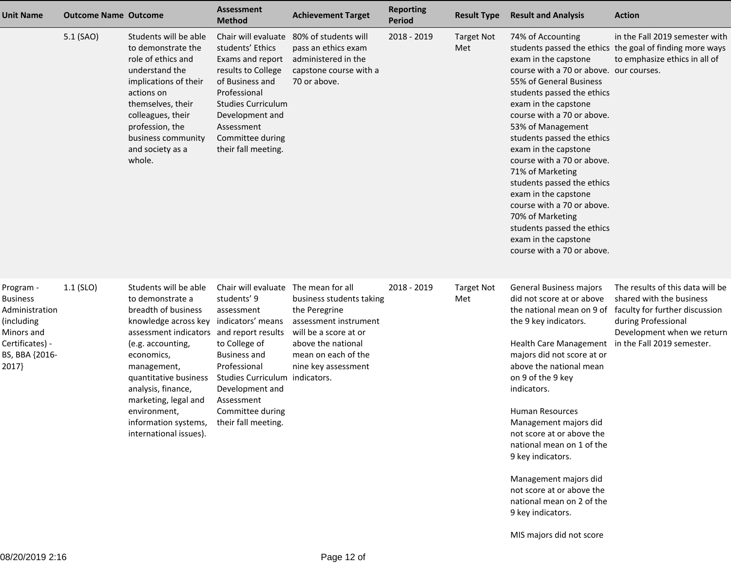| <b>Unit Name</b>                                                                                                         | <b>Outcome Name Outcome</b> |                                                                                                                                                                                                                                                                                                                                                                       | <b>Assessment</b><br><b>Method</b>                                                                                                                                                                                            | <b>Achievement Target</b>                                                                                                                                                           | <b>Reporting</b><br>Period | <b>Result Type</b>       | <b>Result and Analysis</b>                                                                                                                                                                                                                                                                                                                                                                                                                                                                                                         | <b>Action</b>                                                                                                                                       |
|--------------------------------------------------------------------------------------------------------------------------|-----------------------------|-----------------------------------------------------------------------------------------------------------------------------------------------------------------------------------------------------------------------------------------------------------------------------------------------------------------------------------------------------------------------|-------------------------------------------------------------------------------------------------------------------------------------------------------------------------------------------------------------------------------|-------------------------------------------------------------------------------------------------------------------------------------------------------------------------------------|----------------------------|--------------------------|------------------------------------------------------------------------------------------------------------------------------------------------------------------------------------------------------------------------------------------------------------------------------------------------------------------------------------------------------------------------------------------------------------------------------------------------------------------------------------------------------------------------------------|-----------------------------------------------------------------------------------------------------------------------------------------------------|
|                                                                                                                          | 5.1 (SAO)                   | Students will be able<br>to demonstrate the<br>role of ethics and<br>understand the<br>implications of their<br>actions on<br>themselves, their<br>colleagues, their<br>profession, the<br>business community<br>and society as a<br>whole.                                                                                                                           | Chair will evaluate<br>students' Ethics<br>Exams and report<br>results to College<br>of Business and<br>Professional<br><b>Studies Curriculum</b><br>Development and<br>Assessment<br>Committee during<br>their fall meeting. | 80% of students will<br>pass an ethics exam<br>administered in the<br>capstone course with a<br>70 or above.                                                                        | 2018 - 2019                | <b>Target Not</b><br>Met | 74% of Accounting<br>exam in the capstone<br>course with a 70 or above. our courses.<br>55% of General Business<br>students passed the ethics<br>exam in the capstone<br>course with a 70 or above.<br>53% of Management<br>students passed the ethics<br>exam in the capstone<br>course with a 70 or above.<br>71% of Marketing<br>students passed the ethics<br>exam in the capstone<br>course with a 70 or above.<br>70% of Marketing<br>students passed the ethics<br>exam in the capstone<br>course with a 70 or above.       | in the Fall 2019 semester with<br>students passed the ethics the goal of finding more ways<br>to emphasize ethics in all of                         |
| Program -<br><b>Business</b><br>Administration<br>(including<br>Minors and<br>Certificates) -<br>BS, BBA {2016-<br>2017} | $1.1$ (SLO)                 | Students will be able<br>to demonstrate a<br>breadth of business<br>knowledge across key indicators' means<br>assessment indicators and report results<br>(e.g. accounting,<br>economics,<br>management,<br>quantitative business<br>analysis, finance,<br>marketing, legal and<br>environment,<br>information systems, their fall meeting.<br>international issues). | Chair will evaluate<br>students' 9<br>assessment<br>to College of<br><b>Business and</b><br>Professional<br>Studies Curriculum indicators.<br>Development and<br>Assessment<br>Committee during                               | The mean for all<br>business students taking<br>the Peregrine<br>assessment instrument<br>will be a score at or<br>above the national<br>mean on each of the<br>nine key assessment | 2018 - 2019                | <b>Target Not</b><br>Met | General Business majors<br>did not score at or above<br>the national mean on 9 of<br>the 9 key indicators.<br>Health Care Management in the Fall 2019 semester.<br>majors did not score at or<br>above the national mean<br>on 9 of the 9 key<br>indicators.<br><b>Human Resources</b><br>Management majors did<br>not score at or above the<br>national mean on 1 of the<br>9 key indicators.<br>Management majors did<br>not score at or above the<br>national mean on 2 of the<br>9 key indicators.<br>MIS majors did not score | The results of this data will be<br>shared with the business<br>faculty for further discussion<br>during Professional<br>Development when we return |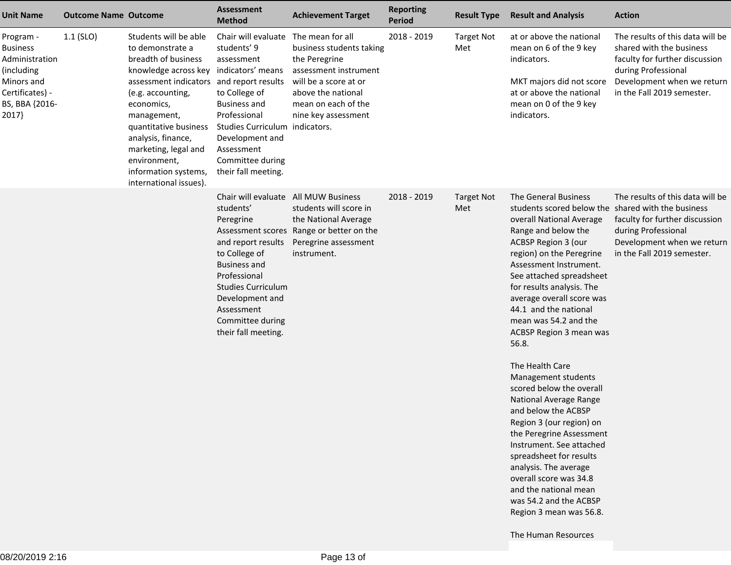| <b>Unit Name</b>                                                                                                         | <b>Outcome Name Outcome</b> |                                                                                                                                                                                                                                                                                                                                                   | <b>Assessment</b><br><b>Method</b>                                                                                                                                                                                                                                         | <b>Achievement Target</b>                                                                                                                                                           | <b>Reporting</b><br>Period | <b>Result Type</b>       | <b>Result and Analysis</b>                                                                                                                                                                                                                                                                                                                                                                                                                                                                                                                                                                                                                                                                                                                                    | <b>Action</b>                                                                                                                                                                     |
|--------------------------------------------------------------------------------------------------------------------------|-----------------------------|---------------------------------------------------------------------------------------------------------------------------------------------------------------------------------------------------------------------------------------------------------------------------------------------------------------------------------------------------|----------------------------------------------------------------------------------------------------------------------------------------------------------------------------------------------------------------------------------------------------------------------------|-------------------------------------------------------------------------------------------------------------------------------------------------------------------------------------|----------------------------|--------------------------|---------------------------------------------------------------------------------------------------------------------------------------------------------------------------------------------------------------------------------------------------------------------------------------------------------------------------------------------------------------------------------------------------------------------------------------------------------------------------------------------------------------------------------------------------------------------------------------------------------------------------------------------------------------------------------------------------------------------------------------------------------------|-----------------------------------------------------------------------------------------------------------------------------------------------------------------------------------|
| Program -<br><b>Business</b><br>Administration<br>(including<br>Minors and<br>Certificates) -<br>BS, BBA {2016-<br>2017} | $1.1$ (SLO)                 | Students will be able<br>to demonstrate a<br>breadth of business<br>knowledge across key indicators' means<br>assessment indicators and report results<br>(e.g. accounting,<br>economics,<br>management,<br>quantitative business<br>analysis, finance,<br>marketing, legal and<br>environment,<br>information systems,<br>international issues). | Chair will evaluate<br>students' 9<br>assessment<br>to College of<br><b>Business and</b><br>Professional<br>Studies Curriculum indicators.<br>Development and<br>Assessment<br>Committee during<br>their fall meeting.                                                     | The mean for all<br>business students taking<br>the Peregrine<br>assessment instrument<br>will be a score at or<br>above the national<br>mean on each of the<br>nine key assessment | 2018 - 2019                | <b>Target Not</b><br>Met | at or above the national<br>mean on 6 of the 9 key<br>indicators.<br>MKT majors did not score<br>at or above the national<br>mean on 0 of the 9 key<br>indicators.                                                                                                                                                                                                                                                                                                                                                                                                                                                                                                                                                                                            | The results of this data will be<br>shared with the business<br>faculty for further discussion<br>during Professional<br>Development when we return<br>in the Fall 2019 semester. |
|                                                                                                                          |                             |                                                                                                                                                                                                                                                                                                                                                   | Chair will evaluate All MUW Business<br>students'<br>Peregrine<br>Assessment scores<br>and report results<br>to College of<br><b>Business and</b><br>Professional<br><b>Studies Curriculum</b><br>Development and<br>Assessment<br>Committee during<br>their fall meeting. | students will score in<br>the National Average<br>Range or better on the<br>Peregrine assessment<br>instrument.                                                                     | $2018 - 2019$              | <b>Target Not</b><br>Met | The General Business<br>students scored below the shared with the business<br>overall National Average<br>Range and below the<br>ACBSP Region 3 (our<br>region) on the Peregrine<br>Assessment Instrument.<br>See attached spreadsheet<br>for results analysis. The<br>average overall score was<br>44.1 and the national<br>mean was 54.2 and the<br>ACBSP Region 3 mean was<br>56.8.<br>The Health Care<br>Management students<br>scored below the overall<br>National Average Range<br>and below the ACBSP<br>Region 3 (our region) on<br>the Peregrine Assessment<br>Instrument. See attached<br>spreadsheet for results<br>analysis. The average<br>overall score was 34.8<br>and the national mean<br>was 54.2 and the ACBSP<br>Region 3 mean was 56.8. | The results of this data will be<br>faculty for further discussion<br>during Professional<br>Development when we return<br>in the Fall 2019 semester.                             |
|                                                                                                                          |                             |                                                                                                                                                                                                                                                                                                                                                   |                                                                                                                                                                                                                                                                            |                                                                                                                                                                                     |                            |                          | The Human Resources                                                                                                                                                                                                                                                                                                                                                                                                                                                                                                                                                                                                                                                                                                                                           |                                                                                                                                                                                   |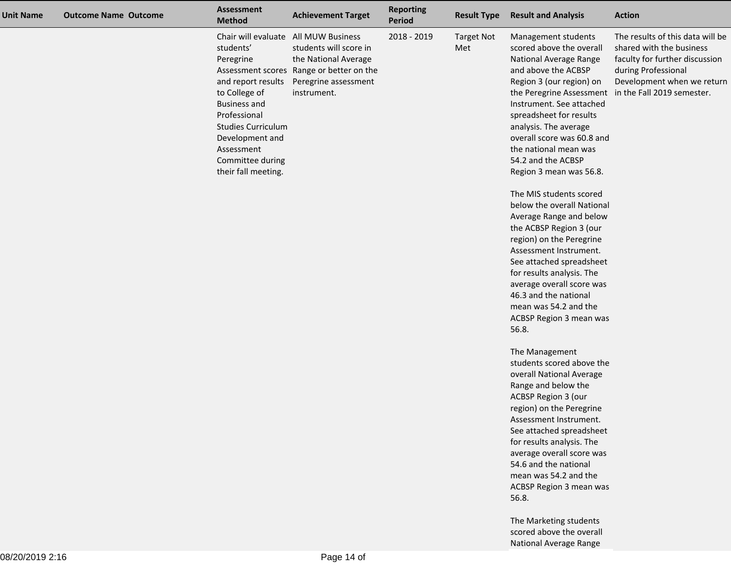| <b>Unit Name</b> | <b>Outcome Name Outcome</b> | <b>Assessment</b><br><b>Method</b>                                                                                                                                                                                                                    | <b>Achievement Target</b>                                                                                                         | <b>Reporting</b><br><b>Period</b> | <b>Result Type</b>       | <b>Result and Analysis</b>                                                                                                                                                                                                                                                                                                                                                                                                                                                                                                                                                                                                                                                                                                                                                                                                                                                                                                                                                                                                                                                                                        | <b>Action</b>                                                                                                                                       |
|------------------|-----------------------------|-------------------------------------------------------------------------------------------------------------------------------------------------------------------------------------------------------------------------------------------------------|-----------------------------------------------------------------------------------------------------------------------------------|-----------------------------------|--------------------------|-------------------------------------------------------------------------------------------------------------------------------------------------------------------------------------------------------------------------------------------------------------------------------------------------------------------------------------------------------------------------------------------------------------------------------------------------------------------------------------------------------------------------------------------------------------------------------------------------------------------------------------------------------------------------------------------------------------------------------------------------------------------------------------------------------------------------------------------------------------------------------------------------------------------------------------------------------------------------------------------------------------------------------------------------------------------------------------------------------------------|-----------------------------------------------------------------------------------------------------------------------------------------------------|
|                  |                             | Chair will evaluate All MUW Business<br>students'<br>Peregrine<br>and report results<br>to College of<br><b>Business and</b><br>Professional<br><b>Studies Curriculum</b><br>Development and<br>Assessment<br>Committee during<br>their fall meeting. | students will score in<br>the National Average<br>Assessment scores Range or better on the<br>Peregrine assessment<br>instrument. | 2018 - 2019                       | <b>Target Not</b><br>Met | Management students<br>scored above the overall<br>National Average Range<br>and above the ACBSP<br>Region 3 (our region) on<br>the Peregrine Assessment in the Fall 2019 semester.<br>Instrument. See attached<br>spreadsheet for results<br>analysis. The average<br>overall score was 60.8 and<br>the national mean was<br>54.2 and the ACBSP<br>Region 3 mean was 56.8.<br>The MIS students scored<br>below the overall National<br>Average Range and below<br>the ACBSP Region 3 (our<br>region) on the Peregrine<br>Assessment Instrument.<br>See attached spreadsheet<br>for results analysis. The<br>average overall score was<br>46.3 and the national<br>mean was 54.2 and the<br>ACBSP Region 3 mean was<br>56.8.<br>The Management<br>students scored above the<br>overall National Average<br>Range and below the<br>ACBSP Region 3 (our<br>region) on the Peregrine<br>Assessment Instrument.<br>See attached spreadsheet<br>for results analysis. The<br>average overall score was<br>54.6 and the national<br>mean was 54.2 and the<br>ACBSP Region 3 mean was<br>56.8.<br>The Marketing students | The results of this data will be<br>shared with the business<br>faculty for further discussion<br>during Professional<br>Development when we return |
|                  |                             |                                                                                                                                                                                                                                                       |                                                                                                                                   |                                   |                          | scored above the overall                                                                                                                                                                                                                                                                                                                                                                                                                                                                                                                                                                                                                                                                                                                                                                                                                                                                                                                                                                                                                                                                                          |                                                                                                                                                     |

National Average Range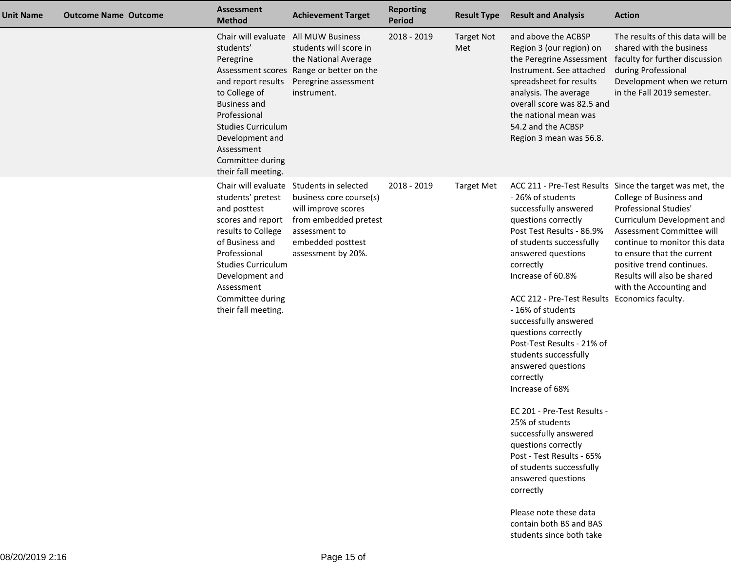| Chair will evaluate All MUW Business<br>2018 - 2019<br>and above the ACBSP<br><b>Target Not</b><br>students will score in<br>Region 3 (our region) on<br>students'<br>Met<br>the National Average<br>the Peregrine Assessment<br>Peregrine<br>Assessment scores Range or better on the<br>Instrument. See attached<br>Peregrine assessment<br>and report results<br>spreadsheet for results<br>to College of<br>instrument.<br>analysis. The average<br><b>Business and</b><br>overall score was 82.5 and<br>Professional<br>the national mean was<br><b>Studies Curriculum</b><br>54.2 and the ACBSP<br>Development and<br>Region 3 mean was 56.8.<br>Assessment<br>Committee during<br>their fall meeting.<br>Chair will evaluate Students in selected<br>2018 - 2019<br><b>Target Met</b><br>students' pretest<br>- 26% of students<br>business core course(s)<br>successfully answered<br>and posttest<br>will improve scores<br>scores and report<br>from embedded pretest<br>questions correctly<br>results to College<br>Post Test Results - 86.9%<br>assessment to<br>of Business and<br>embedded posttest<br>of students successfully<br>Professional<br>answered questions<br>assessment by 20%.<br><b>Studies Curriculum</b><br>correctly<br>Development and<br>Increase of 60.8%<br>Assessment<br>Committee during<br>their fall meeting.<br>- 16% of students | <b>Result and Analysis</b><br><b>Action</b>                                                                                        |                                                                                                                                                                                                                                          |
|----------------------------------------------------------------------------------------------------------------------------------------------------------------------------------------------------------------------------------------------------------------------------------------------------------------------------------------------------------------------------------------------------------------------------------------------------------------------------------------------------------------------------------------------------------------------------------------------------------------------------------------------------------------------------------------------------------------------------------------------------------------------------------------------------------------------------------------------------------------------------------------------------------------------------------------------------------------------------------------------------------------------------------------------------------------------------------------------------------------------------------------------------------------------------------------------------------------------------------------------------------------------------------------------------------------------------------------------------------------------------|------------------------------------------------------------------------------------------------------------------------------------|------------------------------------------------------------------------------------------------------------------------------------------------------------------------------------------------------------------------------------------|
|                                                                                                                                                                                                                                                                                                                                                                                                                                                                                                                                                                                                                                                                                                                                                                                                                                                                                                                                                                                                                                                                                                                                                                                                                                                                                                                                                                            | during Professional                                                                                                                | The results of this data will be<br>shared with the business<br>faculty for further discussion<br>Development when we return<br>in the Fall 2019 semester.                                                                               |
| successfully answered<br>questions correctly<br>Post-Test Results - 21% of<br>students successfully<br>answered questions<br>correctly<br>Increase of 68%<br>EC 201 - Pre-Test Results -<br>25% of students<br>successfully answered<br>questions correctly<br>Post - Test Results - 65%<br>of students successfully<br>answered questions<br>correctly<br>Please note these data<br>contain both BS and BAS                                                                                                                                                                                                                                                                                                                                                                                                                                                                                                                                                                                                                                                                                                                                                                                                                                                                                                                                                               | ACC 211 - Pre-Test Results Since the target was met, the<br>Professional Studies'<br>ACC 212 - Pre-Test Results Economics faculty. | College of Business and<br>Curriculum Development and<br>Assessment Committee will<br>continue to monitor this data<br>to ensure that the current<br>positive trend continues.<br>Results will also be shared<br>with the Accounting and |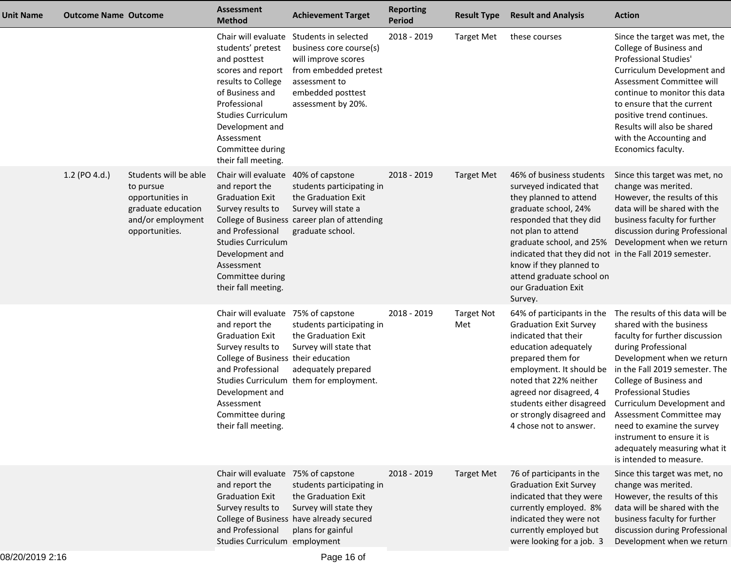| Unit Name | <b>Outcome Name Outcome</b> |                                                                                                                     | <b>Assessment</b><br><b>Method</b>                                                                                                                                                                                                                                       | <b>Achievement Target</b>                                                                                                                                      | <b>Reporting</b><br>Period | <b>Result Type</b>       | <b>Result and Analysis</b>                                                                                                                                                                                                                                                                                                             | <b>Action</b>                                                                                                                                                                                                                                                                                                                                                                                                                    |
|-----------|-----------------------------|---------------------------------------------------------------------------------------------------------------------|--------------------------------------------------------------------------------------------------------------------------------------------------------------------------------------------------------------------------------------------------------------------------|----------------------------------------------------------------------------------------------------------------------------------------------------------------|----------------------------|--------------------------|----------------------------------------------------------------------------------------------------------------------------------------------------------------------------------------------------------------------------------------------------------------------------------------------------------------------------------------|----------------------------------------------------------------------------------------------------------------------------------------------------------------------------------------------------------------------------------------------------------------------------------------------------------------------------------------------------------------------------------------------------------------------------------|
|           |                             |                                                                                                                     | Chair will evaluate<br>students' pretest<br>and posttest<br>scores and report<br>results to College<br>of Business and<br>Professional<br><b>Studies Curriculum</b><br>Development and<br>Assessment<br>Committee during<br>their fall meeting.                          | Students in selected<br>business core course(s)<br>will improve scores<br>from embedded pretest<br>assessment to<br>embedded posttest<br>assessment by 20%.    | 2018 - 2019                | <b>Target Met</b>        | these courses                                                                                                                                                                                                                                                                                                                          | Since the target was met, the<br>College of Business and<br>Professional Studies'<br>Curriculum Development and<br>Assessment Committee will<br>continue to monitor this data<br>to ensure that the current<br>positive trend continues.<br>Results will also be shared<br>with the Accounting and<br>Economics faculty.                                                                                                         |
|           | 1.2 (PO 4.d.)               | Students will be able<br>to pursue<br>opportunities in<br>graduate education<br>and/or employment<br>opportunities. | Chair will evaluate<br>and report the<br><b>Graduation Exit</b><br>Survey results to<br>and Professional<br><b>Studies Curriculum</b><br>Development and<br>Assessment<br>Committee during<br>their fall meeting.                                                        | 40% of capstone<br>students participating in<br>the Graduation Exit<br>Survey will state a<br>College of Business career plan of attending<br>graduate school. | 2018 - 2019                | <b>Target Met</b>        | 46% of business students<br>surveyed indicated that<br>they planned to attend<br>graduate school, 24%<br>responded that they did<br>not plan to attend<br>graduate school, and 25%<br>indicated that they did not in the Fall 2019 semester.<br>know if they planned to<br>attend graduate school on<br>our Graduation Exit<br>Survey. | Since this target was met, no<br>change was merited.<br>However, the results of this<br>data will be shared with the<br>business faculty for further<br>discussion during Professional<br>Development when we return                                                                                                                                                                                                             |
|           |                             |                                                                                                                     | Chair will evaluate 75% of capstone<br>and report the<br><b>Graduation Exit</b><br>Survey results to<br>College of Business their education<br>and Professional<br><b>Studies Curriculum</b><br>Development and<br>Assessment<br>Committee during<br>their fall meeting. | students participating in<br>the Graduation Exit<br>Survey will state that<br>adequately prepared<br>them for employment.                                      | 2018 - 2019                | <b>Target Not</b><br>Met | 64% of participants in the<br><b>Graduation Exit Survey</b><br>indicated that their<br>education adequately<br>prepared them for<br>employment. It should be<br>noted that 22% neither<br>agreed nor disagreed, 4<br>students either disagreed<br>or strongly disagreed and<br>4 chose not to answer.                                  | The results of this data will be<br>shared with the business<br>faculty for further discussion<br>during Professional<br>Development when we return<br>in the Fall 2019 semester. The<br>College of Business and<br><b>Professional Studies</b><br>Curriculum Development and<br>Assessment Committee may<br>need to examine the survey<br>instrument to ensure it is<br>adequately measuring what it<br>is intended to measure. |
|           |                             |                                                                                                                     | Chair will evaluate 75% of capstone<br>and report the<br><b>Graduation Exit</b><br>Survey results to<br>and Professional<br>Studies Curriculum employment                                                                                                                | students participating in<br>the Graduation Exit<br>Survey will state they<br>College of Business have already secured<br>plans for gainful                    | 2018 - 2019                | <b>Target Met</b>        | 76 of participants in the<br><b>Graduation Exit Survey</b><br>indicated that they were<br>currently employed. 8%<br>indicated they were not<br>currently employed but<br>were looking for a job. 3                                                                                                                                     | Since this target was met, no<br>change was merited.<br>However, the results of this<br>data will be shared with the<br>business faculty for further<br>discussion during Professional<br>Development when we return                                                                                                                                                                                                             |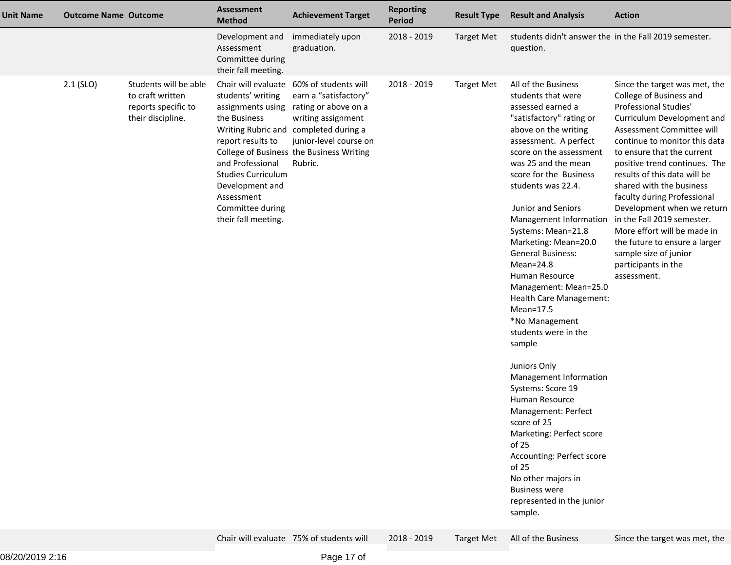| <b>Unit Name</b> | <b>Outcome Name Outcome</b> |                                                                                       | <b>Assessment</b><br><b>Method</b>                                                                                                                                                                       | <b>Achievement Target</b>                                                                                                                                                                                                                 | <b>Reporting</b><br>Period | <b>Result Type</b> | <b>Result and Analysis</b>                                                                                                                                                                                                                                                                                                                                                                                                                                                                                                                                                                                                                                                                                                                                                                                          | <b>Action</b>                                                                                                                                                                                                                                                                                                                                                                                                                                                                                                                             |
|------------------|-----------------------------|---------------------------------------------------------------------------------------|----------------------------------------------------------------------------------------------------------------------------------------------------------------------------------------------------------|-------------------------------------------------------------------------------------------------------------------------------------------------------------------------------------------------------------------------------------------|----------------------------|--------------------|---------------------------------------------------------------------------------------------------------------------------------------------------------------------------------------------------------------------------------------------------------------------------------------------------------------------------------------------------------------------------------------------------------------------------------------------------------------------------------------------------------------------------------------------------------------------------------------------------------------------------------------------------------------------------------------------------------------------------------------------------------------------------------------------------------------------|-------------------------------------------------------------------------------------------------------------------------------------------------------------------------------------------------------------------------------------------------------------------------------------------------------------------------------------------------------------------------------------------------------------------------------------------------------------------------------------------------------------------------------------------|
|                  |                             |                                                                                       | Development and<br>Assessment<br>Committee during<br>their fall meeting.                                                                                                                                 | immediately upon<br>graduation.                                                                                                                                                                                                           | 2018 - 2019                | <b>Target Met</b>  | students didn't answer the in the Fall 2019 semester.<br>question.                                                                                                                                                                                                                                                                                                                                                                                                                                                                                                                                                                                                                                                                                                                                                  |                                                                                                                                                                                                                                                                                                                                                                                                                                                                                                                                           |
|                  | $2.1$ (SLO)                 | Students will be able<br>to craft written<br>reports specific to<br>their discipline. | students' writing<br>assignments using<br>the Business<br>report results to<br>and Professional<br><b>Studies Curriculum</b><br>Development and<br>Assessment<br>Committee during<br>their fall meeting. | Chair will evaluate 60% of students will<br>earn a "satisfactory"<br>rating or above on a<br>writing assignment<br>Writing Rubric and completed during a<br>junior-level course on<br>College of Business the Business Writing<br>Rubric. | 2018 - 2019                | <b>Target Met</b>  | All of the Business<br>students that were<br>assessed earned a<br>"satisfactory" rating or<br>above on the writing<br>assessment. A perfect<br>score on the assessment<br>was 25 and the mean<br>score for the Business<br>students was 22.4.<br>Junior and Seniors<br>Management Information<br>Systems: Mean=21.8<br>Marketing: Mean=20.0<br><b>General Business:</b><br>Mean=24.8<br>Human Resource<br>Management: Mean=25.0<br>Health Care Management:<br>Mean=17.5<br>*No Management<br>students were in the<br>sample<br>Juniors Only<br>Management Information<br>Systems: Score 19<br>Human Resource<br>Management: Perfect<br>score of 25<br>Marketing: Perfect score<br>of 25<br>Accounting: Perfect score<br>of 25<br>No other majors in<br><b>Business were</b><br>represented in the junior<br>sample. | Since the target was met, the<br>College of Business and<br><b>Professional Studies'</b><br>Curriculum Development and<br>Assessment Committee will<br>continue to monitor this data<br>to ensure that the current<br>positive trend continues. The<br>results of this data will be<br>shared with the business<br>faculty during Professional<br>Development when we return<br>in the Fall 2019 semester.<br>More effort will be made in<br>the future to ensure a larger<br>sample size of junior<br>participants in the<br>assessment. |
|                  |                             |                                                                                       |                                                                                                                                                                                                          | Chair will evaluate 75% of students will                                                                                                                                                                                                  | 2018 - 2019                | <b>Target Met</b>  | All of the Business                                                                                                                                                                                                                                                                                                                                                                                                                                                                                                                                                                                                                                                                                                                                                                                                 | Since the target was met, the                                                                                                                                                                                                                                                                                                                                                                                                                                                                                                             |

Chair will evaluate 75% of students will 2018 - 2019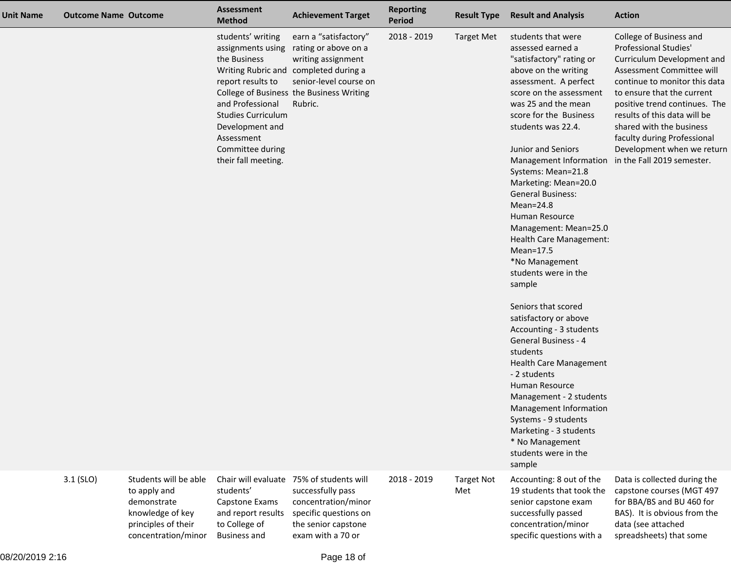| <b>Unit Name</b> | <b>Outcome Name Outcome</b> |                                                                                                                        | <b>Assessment</b><br><b>Method</b>                                                                                                                                                  | <b>Achievement Target</b>                                                                                                                                                                                       | <b>Reporting</b><br>Period | <b>Result Type</b>       | <b>Result and Analysis</b>                                                                                                                                                                                                                                                                                                                                                                                                                                                                                                                                                                                                                                                                                                                                                                                                                                      | <b>Action</b>                                                                                                                                                                                                                                                                                                                                                             |
|------------------|-----------------------------|------------------------------------------------------------------------------------------------------------------------|-------------------------------------------------------------------------------------------------------------------------------------------------------------------------------------|-----------------------------------------------------------------------------------------------------------------------------------------------------------------------------------------------------------------|----------------------------|--------------------------|-----------------------------------------------------------------------------------------------------------------------------------------------------------------------------------------------------------------------------------------------------------------------------------------------------------------------------------------------------------------------------------------------------------------------------------------------------------------------------------------------------------------------------------------------------------------------------------------------------------------------------------------------------------------------------------------------------------------------------------------------------------------------------------------------------------------------------------------------------------------|---------------------------------------------------------------------------------------------------------------------------------------------------------------------------------------------------------------------------------------------------------------------------------------------------------------------------------------------------------------------------|
|                  |                             |                                                                                                                        | students' writing<br>the Business<br>report results to<br>and Professional<br><b>Studies Curriculum</b><br>Development and<br>Assessment<br>Committee during<br>their fall meeting. | earn a "satisfactory"<br>assignments using rating or above on a<br>writing assignment<br>Writing Rubric and completed during a<br>senior-level course on<br>College of Business the Business Writing<br>Rubric. | 2018 - 2019                | <b>Target Met</b>        | students that were<br>assessed earned a<br>"satisfactory" rating or<br>above on the writing<br>assessment. A perfect<br>score on the assessment<br>was 25 and the mean<br>score for the Business<br>students was 22.4.<br>Junior and Seniors<br>Management Information<br>Systems: Mean=21.8<br>Marketing: Mean=20.0<br><b>General Business:</b><br>$Mean = 24.8$<br>Human Resource<br>Management: Mean=25.0<br>Health Care Management:<br>$Mean=17.5$<br>*No Management<br>students were in the<br>sample<br>Seniors that scored<br>satisfactory or above<br>Accounting - 3 students<br><b>General Business - 4</b><br>students<br><b>Health Care Management</b><br>- 2 students<br>Human Resource<br>Management - 2 students<br>Management Information<br>Systems - 9 students<br>Marketing - 3 students<br>* No Management<br>students were in the<br>sample | College of Business and<br><b>Professional Studies'</b><br>Curriculum Development and<br>Assessment Committee will<br>continue to monitor this data<br>to ensure that the current<br>positive trend continues. The<br>results of this data will be<br>shared with the business<br>faculty during Professional<br>Development when we return<br>in the Fall 2019 semester. |
|                  | $3.1$ (SLO)                 | Students will be able<br>to apply and<br>demonstrate<br>knowledge of key<br>principles of their<br>concentration/minor | students'<br>Capstone Exams<br>and report results<br>to College of<br><b>Business and</b>                                                                                           | Chair will evaluate 75% of students will<br>successfully pass<br>concentration/minor<br>specific questions on<br>the senior capstone<br>exam with a 70 or                                                       | 2018 - 2019                | <b>Target Not</b><br>Met | Accounting: 8 out of the<br>19 students that took the<br>senior capstone exam<br>successfully passed<br>concentration/minor<br>specific questions with a                                                                                                                                                                                                                                                                                                                                                                                                                                                                                                                                                                                                                                                                                                        | Data is collected during the<br>capstone courses (MGT 497<br>for BBA/BS and BU 460 for<br>BAS). It is obvious from the<br>data (see attached<br>spreadsheets) that some                                                                                                                                                                                                   |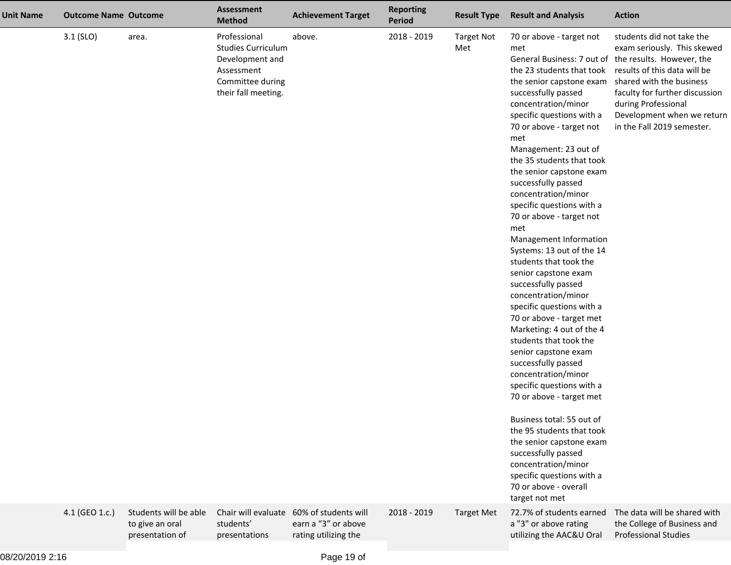| <b>Unit Name</b> | <b>Outcome Name Outcome</b> |                                                             | <b>Assessment</b><br><b>Method</b>                                                                                    | <b>Achievement Target</b>                                                               | <b>Reporting</b><br>Period | <b>Result Type</b>       | <b>Result and Analysis</b>                                                                                                                                                                                                                                                                                                                                                                                                                                                                                                                                                                                                                                                                                                                                                                                                                                                                                                                                                                                                                                                       | <b>Action</b>                                                                                                                                                                                                                             |
|------------------|-----------------------------|-------------------------------------------------------------|-----------------------------------------------------------------------------------------------------------------------|-----------------------------------------------------------------------------------------|----------------------------|--------------------------|----------------------------------------------------------------------------------------------------------------------------------------------------------------------------------------------------------------------------------------------------------------------------------------------------------------------------------------------------------------------------------------------------------------------------------------------------------------------------------------------------------------------------------------------------------------------------------------------------------------------------------------------------------------------------------------------------------------------------------------------------------------------------------------------------------------------------------------------------------------------------------------------------------------------------------------------------------------------------------------------------------------------------------------------------------------------------------|-------------------------------------------------------------------------------------------------------------------------------------------------------------------------------------------------------------------------------------------|
|                  | $3.1$ (SLO)                 | area.                                                       | Professional<br><b>Studies Curriculum</b><br>Development and<br>Assessment<br>Committee during<br>their fall meeting. | above.                                                                                  | 2018 - 2019                | <b>Target Not</b><br>Met | 70 or above - target not<br>met<br>General Business: 7 out of the results. However, the<br>the 23 students that took<br>the senior capstone exam<br>successfully passed<br>concentration/minor<br>specific questions with a<br>70 or above - target not<br>met<br>Management: 23 out of<br>the 35 students that took<br>the senior capstone exam<br>successfully passed<br>concentration/minor<br>specific questions with a<br>70 or above - target not<br>met<br>Management Information<br>Systems: 13 out of the 14<br>students that took the<br>senior capstone exam<br>successfully passed<br>concentration/minor<br>specific questions with a<br>70 or above - target met<br>Marketing: 4 out of the 4<br>students that took the<br>senior capstone exam<br>successfully passed<br>concentration/minor<br>specific questions with a<br>70 or above - target met<br>Business total: 55 out of<br>the 95 students that took<br>the senior capstone exam<br>successfully passed<br>concentration/minor<br>specific questions with a<br>70 or above - overall<br>target not met | students did not take the<br>exam seriously. This skewed<br>results of this data will be<br>shared with the business<br>faculty for further discussion<br>during Professional<br>Development when we return<br>in the Fall 2019 semester. |
|                  | 4.1 (GEO 1.c.)              | Students will be able<br>to give an oral<br>presentation of | students'<br>presentations                                                                                            | Chair will evaluate 60% of students will<br>earn a "3" or above<br>rating utilizing the | 2018 - 2019                | <b>Target Met</b>        | 72.7% of students earned<br>a "3" or above rating<br>utilizing the AAC&U Oral                                                                                                                                                                                                                                                                                                                                                                                                                                                                                                                                                                                                                                                                                                                                                                                                                                                                                                                                                                                                    | The data will be shared with<br>the College of Business and<br><b>Professional Studies</b>                                                                                                                                                |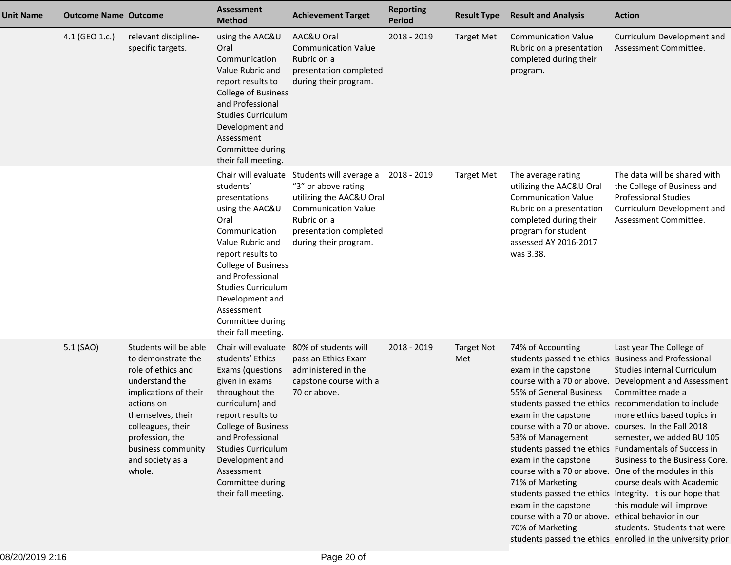| <b>Unit Name</b> | <b>Outcome Name Outcome</b> |                                                                                                                                                                                                                                             | Assessment<br><b>Method</b>                                                                                                                                                                                                                                                                        | <b>Achievement Target</b>                                                                                                                                                                      | <b>Reporting</b><br><b>Period</b> | <b>Result Type</b>       | <b>Result and Analysis</b>                                                                                                                                                                                                                                                                                                                                                                                                               | <b>Action</b>                                                                                                                                                                                                                                                                                                                                                                                                                                                                                                                                                             |
|------------------|-----------------------------|---------------------------------------------------------------------------------------------------------------------------------------------------------------------------------------------------------------------------------------------|----------------------------------------------------------------------------------------------------------------------------------------------------------------------------------------------------------------------------------------------------------------------------------------------------|------------------------------------------------------------------------------------------------------------------------------------------------------------------------------------------------|-----------------------------------|--------------------------|------------------------------------------------------------------------------------------------------------------------------------------------------------------------------------------------------------------------------------------------------------------------------------------------------------------------------------------------------------------------------------------------------------------------------------------|---------------------------------------------------------------------------------------------------------------------------------------------------------------------------------------------------------------------------------------------------------------------------------------------------------------------------------------------------------------------------------------------------------------------------------------------------------------------------------------------------------------------------------------------------------------------------|
|                  | 4.1 (GEO 1.c.)              | relevant discipline-<br>specific targets.                                                                                                                                                                                                   | using the AAC&U<br>Oral<br>Communication<br>Value Rubric and<br>report results to<br><b>College of Business</b><br>and Professional<br><b>Studies Curriculum</b><br>Development and<br>Assessment<br>Committee during<br>their fall meeting.                                                       | AAC&U Oral<br><b>Communication Value</b><br>Rubric on a<br>presentation completed<br>during their program.                                                                                     | 2018 - 2019                       | <b>Target Met</b>        | <b>Communication Value</b><br>Rubric on a presentation<br>completed during their<br>program.                                                                                                                                                                                                                                                                                                                                             | Curriculum Development and<br>Assessment Committee.                                                                                                                                                                                                                                                                                                                                                                                                                                                                                                                       |
|                  |                             |                                                                                                                                                                                                                                             | students'<br>presentations<br>using the AAC&U<br>Oral<br>Communication<br>Value Rubric and<br>report results to<br><b>College of Business</b><br>and Professional<br><b>Studies Curriculum</b><br>Development and<br>Assessment<br>Committee during<br>their fall meeting.                         | Chair will evaluate Students will average a<br>"3" or above rating<br>utilizing the AAC&U Oral<br><b>Communication Value</b><br>Rubric on a<br>presentation completed<br>during their program. | 2018 - 2019                       | <b>Target Met</b>        | The average rating<br>utilizing the AAC&U Oral<br><b>Communication Value</b><br>Rubric on a presentation<br>completed during their<br>program for student<br>assessed AY 2016-2017<br>was 3.38.                                                                                                                                                                                                                                          | The data will be shared with<br>the College of Business and<br><b>Professional Studies</b><br>Curriculum Development and<br>Assessment Committee.                                                                                                                                                                                                                                                                                                                                                                                                                         |
|                  | 5.1 (SAO)                   | Students will be able<br>to demonstrate the<br>role of ethics and<br>understand the<br>implications of their<br>actions on<br>themselves, their<br>colleagues, their<br>profession, the<br>business community<br>and society as a<br>whole. | Chair will evaluate<br>students' Ethics<br>Exams (questions<br>given in exams<br>throughout the<br>curriculum) and<br>report results to<br><b>College of Business</b><br>and Professional<br><b>Studies Curriculum</b><br>Development and<br>Assessment<br>Committee during<br>their fall meeting. | 80% of students will<br>pass an Ethics Exam<br>administered in the<br>capstone course with a<br>70 or above.                                                                                   | 2018 - 2019                       | <b>Target Not</b><br>Met | 74% of Accounting<br>students passed the ethics Business and Professional<br>exam in the capstone<br>55% of General Business<br>exam in the capstone<br>course with a 70 or above. courses. In the Fall 2018<br>53% of Management<br>exam in the capstone<br>course with a 70 or above. One of the modules in this<br>71% of Marketing<br>exam in the capstone<br>course with a 70 or above. ethical behavior in our<br>70% of Marketing | Last year The College of<br>Studies internal Curriculum<br>course with a 70 or above. Development and Assessment<br>Committee made a<br>students passed the ethics recommendation to include<br>more ethics based topics in<br>semester, we added BU 105<br>students passed the ethics Fundamentals of Success in<br>Business to the Business Core.<br>course deals with Academic<br>students passed the ethics Integrity. It is our hope that<br>this module will improve<br>students. Students that were<br>students passed the ethics enrolled in the university prior |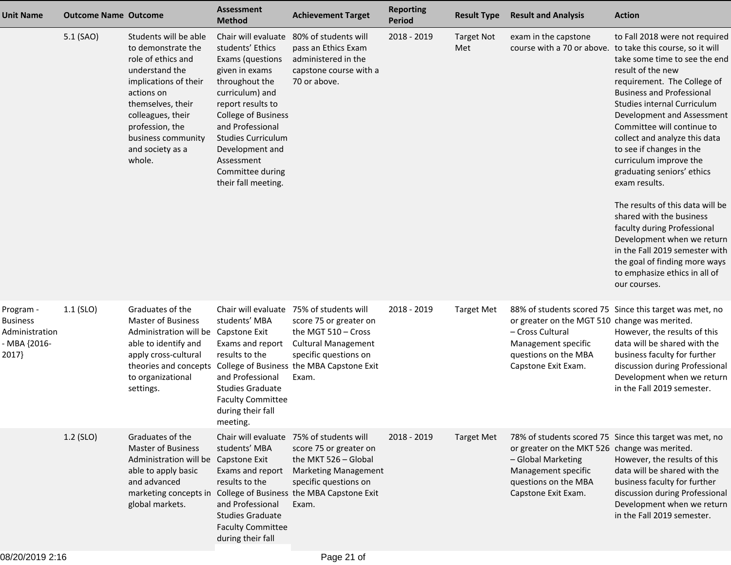| <b>Unit Name</b>                                                        | <b>Outcome Name Outcome</b> |                                                                                                                                                                                                                                             | <b>Assessment</b><br><b>Method</b>                                                                                                                                                                                                                                                                 | <b>Achievement Target</b>                                                                                                                                                                                                      | <b>Reporting</b><br><b>Period</b> | <b>Result Type</b>       | <b>Result and Analysis</b>                                                                                                                | <b>Action</b>                                                                                                                                                                                                                                                                                                                                                                                                                                                                                                                                                                                                                                                                                           |
|-------------------------------------------------------------------------|-----------------------------|---------------------------------------------------------------------------------------------------------------------------------------------------------------------------------------------------------------------------------------------|----------------------------------------------------------------------------------------------------------------------------------------------------------------------------------------------------------------------------------------------------------------------------------------------------|--------------------------------------------------------------------------------------------------------------------------------------------------------------------------------------------------------------------------------|-----------------------------------|--------------------------|-------------------------------------------------------------------------------------------------------------------------------------------|---------------------------------------------------------------------------------------------------------------------------------------------------------------------------------------------------------------------------------------------------------------------------------------------------------------------------------------------------------------------------------------------------------------------------------------------------------------------------------------------------------------------------------------------------------------------------------------------------------------------------------------------------------------------------------------------------------|
|                                                                         | 5.1 (SAO)                   | Students will be able<br>to demonstrate the<br>role of ethics and<br>understand the<br>implications of their<br>actions on<br>themselves, their<br>colleagues, their<br>profession, the<br>business community<br>and society as a<br>whole. | Chair will evaluate<br>students' Ethics<br>Exams (questions<br>given in exams<br>throughout the<br>curriculum) and<br>report results to<br><b>College of Business</b><br>and Professional<br><b>Studies Curriculum</b><br>Development and<br>Assessment<br>Committee during<br>their fall meeting. | 80% of students will<br>pass an Ethics Exam<br>administered in the<br>capstone course with a<br>70 or above.                                                                                                                   | $2018 - 2019$                     | <b>Target Not</b><br>Met | exam in the capstone                                                                                                                      | to Fall 2018 were not required<br>course with a 70 or above. to take this course, so it will<br>take some time to see the end<br>result of the new<br>requirement. The College of<br><b>Business and Professional</b><br>Studies internal Curriculum<br>Development and Assessment<br>Committee will continue to<br>collect and analyze this data<br>to see if changes in the<br>curriculum improve the<br>graduating seniors' ethics<br>exam results.<br>The results of this data will be<br>shared with the business<br>faculty during Professional<br>Development when we return<br>in the Fall 2019 semester with<br>the goal of finding more ways<br>to emphasize ethics in all of<br>our courses. |
| Program -<br><b>Business</b><br>Administration<br>- MBA {2016-<br>2017} | $1.1$ (SLO)                 | Graduates of the<br><b>Master of Business</b><br>Administration will be Capstone Exit<br>able to identify and<br>apply cross-cultural<br>theories and concepts<br>to organizational<br>settings.                                            | Chair will evaluate<br>students' MBA<br>Exams and report<br>results to the<br>and Professional<br><b>Studies Graduate</b><br><b>Faculty Committee</b><br>during their fall<br>meeting.                                                                                                             | 75% of students will<br>score 75 or greater on<br>the MGT 510 - Cross<br><b>Cultural Management</b><br>specific questions on<br>College of Business the MBA Capstone Exit<br>Exam.                                             | 2018 - 2019                       | <b>Target Met</b>        | or greater on the MGT 510 change was merited.<br>- Cross Cultural<br>Management specific<br>questions on the MBA<br>Capstone Exit Exam.   | 88% of students scored 75 Since this target was met, no<br>However, the results of this<br>data will be shared with the<br>business faculty for further<br>discussion during Professional<br>Development when we return<br>in the Fall 2019 semester.                                                                                                                                                                                                                                                                                                                                                                                                                                                   |
|                                                                         | 1.2 (SLO)                   | Graduates of the<br><b>Master of Business</b><br>Administration will be Capstone Exit<br>able to apply basic<br>and advanced<br>global markets.                                                                                             | students' MBA<br>Exams and report<br>results to the<br>and Professional<br><b>Studies Graduate</b><br><b>Faculty Committee</b><br>during their fall                                                                                                                                                | Chair will evaluate 75% of students will<br>score 75 or greater on<br>the MKT 526 - Global<br><b>Marketing Management</b><br>specific questions on<br>marketing concepts in College of Business the MBA Capstone Exit<br>Exam. | 2018 - 2019                       | <b>Target Met</b>        | or greater on the MKT 526 change was merited.<br>- Global Marketing<br>Management specific<br>questions on the MBA<br>Capstone Exit Exam. | 78% of students scored 75 Since this target was met, no<br>However, the results of this<br>data will be shared with the<br>business faculty for further<br>discussion during Professional<br>Development when we return<br>in the Fall 2019 semester.                                                                                                                                                                                                                                                                                                                                                                                                                                                   |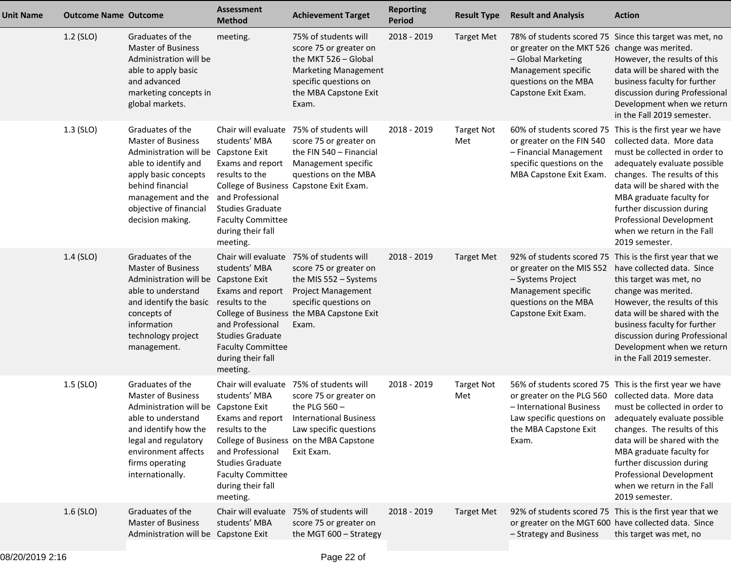| <b>Unit Name</b> | <b>Outcome Name Outcome</b> |                                                                                                                                                                                                                               | <b>Assessment</b><br><b>Method</b>                                                                                                                              | <b>Achievement Target</b>                                                                                                                                                                                           | <b>Reporting</b><br><b>Period</b> | <b>Result Type</b>       | <b>Result and Analysis</b>                                                                                                                | <b>Action</b>                                                                                                                                                                                                                                                                                                                                               |
|------------------|-----------------------------|-------------------------------------------------------------------------------------------------------------------------------------------------------------------------------------------------------------------------------|-----------------------------------------------------------------------------------------------------------------------------------------------------------------|---------------------------------------------------------------------------------------------------------------------------------------------------------------------------------------------------------------------|-----------------------------------|--------------------------|-------------------------------------------------------------------------------------------------------------------------------------------|-------------------------------------------------------------------------------------------------------------------------------------------------------------------------------------------------------------------------------------------------------------------------------------------------------------------------------------------------------------|
|                  | 1.2 (SLO)                   | Graduates of the<br><b>Master of Business</b><br>Administration will be<br>able to apply basic<br>and advanced<br>marketing concepts in<br>global markets.                                                                    | meeting.                                                                                                                                                        | 75% of students will<br>score 75 or greater on<br>the MKT 526 - Global<br><b>Marketing Management</b><br>specific questions on<br>the MBA Capstone Exit<br>Exam.                                                    | 2018 - 2019                       | <b>Target Met</b>        | or greater on the MKT 526 change was merited.<br>- Global Marketing<br>Management specific<br>questions on the MBA<br>Capstone Exit Exam. | 78% of students scored 75 Since this target was met, no<br>However, the results of this<br>data will be shared with the<br>business faculty for further<br>discussion during Professional<br>Development when we return<br>in the Fall 2019 semester.                                                                                                       |
|                  | 1.3 (SLO)                   | Graduates of the<br><b>Master of Business</b><br>Administration will be Capstone Exit<br>able to identify and<br>apply basic concepts<br>behind financial<br>management and the<br>objective of financial<br>decision making. | students' MBA<br>Exams and report<br>results to the<br>and Professional<br><b>Studies Graduate</b><br><b>Faculty Committee</b><br>during their fall<br>meeting. | Chair will evaluate 75% of students will<br>score 75 or greater on<br>the FIN 540 - Financial<br>Management specific<br>questions on the MBA<br>College of Business Capstone Exit Exam.                             | 2018 - 2019                       | <b>Target Not</b><br>Met | or greater on the FIN 540<br>- Financial Management<br>specific questions on the<br>MBA Capstone Exit Exam.                               | 60% of students scored 75 This is the first year we have<br>collected data. More data<br>must be collected in order to<br>adequately evaluate possible<br>changes. The results of this<br>data will be shared with the<br>MBA graduate faculty for<br>further discussion during<br>Professional Development<br>when we return in the Fall<br>2019 semester. |
|                  | $1.4$ (SLO)                 | Graduates of the<br><b>Master of Business</b><br>Administration will be Capstone Exit<br>able to understand<br>and identify the basic results to the<br>concepts of<br>information<br>technology project<br>management.       | students' MBA<br>Exams and report<br>and Professional<br><b>Studies Graduate</b><br><b>Faculty Committee</b><br>during their fall<br>meeting.                   | Chair will evaluate 75% of students will<br>score 75 or greater on<br>the MIS 552 - Systems<br><b>Project Management</b><br>specific questions on<br>College of Business the MBA Capstone Exit<br>Exam.             | 2018 - 2019                       | Target Met               | or greater on the MIS 552<br>- Systems Project<br>Management specific<br>questions on the MBA<br>Capstone Exit Exam.                      | 92% of students scored 75 This is the first year that we<br>have collected data. Since<br>this target was met, no<br>change was merited.<br>However, the results of this<br>data will be shared with the<br>business faculty for further<br>discussion during Professional<br>Development when we return<br>in the Fall 2019 semester.                      |
|                  | $1.5$ (SLO)                 | Graduates of the<br><b>Master of Business</b><br>Administration will be Capstone Exit<br>able to understand<br>and identify how the<br>legal and regulatory<br>environment affects<br>firms operating<br>internationally.     | students' MBA<br>results to the<br>and Professional<br><b>Studies Graduate</b><br><b>Faculty Committee</b><br>during their fall<br>meeting.                     | Chair will evaluate 75% of students will<br>score 75 or greater on<br>the PLG $560 -$<br>Exams and report International Business<br>Law specific questions<br>College of Business on the MBA Capstone<br>Exit Exam. | 2018 - 2019                       | <b>Target Not</b><br>Met | or greater on the PLG 560 collected data. More data<br>- International Business<br>the MBA Capstone Exit<br>Exam.                         | 56% of students scored 75 This is the first year we have<br>must be collected in order to<br>Law specific questions on adequately evaluate possible<br>changes. The results of this<br>data will be shared with the<br>MBA graduate faculty for<br>further discussion during<br>Professional Development<br>when we return in the Fall<br>2019 semester.    |
|                  | $1.6$ (SLO)                 | Graduates of the<br><b>Master of Business</b><br>Administration will be Capstone Exit                                                                                                                                         | students' MBA                                                                                                                                                   | Chair will evaluate 75% of students will<br>score 75 or greater on<br>the MGT 600 - Strategy                                                                                                                        | 2018 - 2019                       | <b>Target Met</b>        | or greater on the MGT 600 have collected data. Since<br>- Strategy and Business                                                           | 92% of students scored 75 This is the first year that we<br>this target was met, no                                                                                                                                                                                                                                                                         |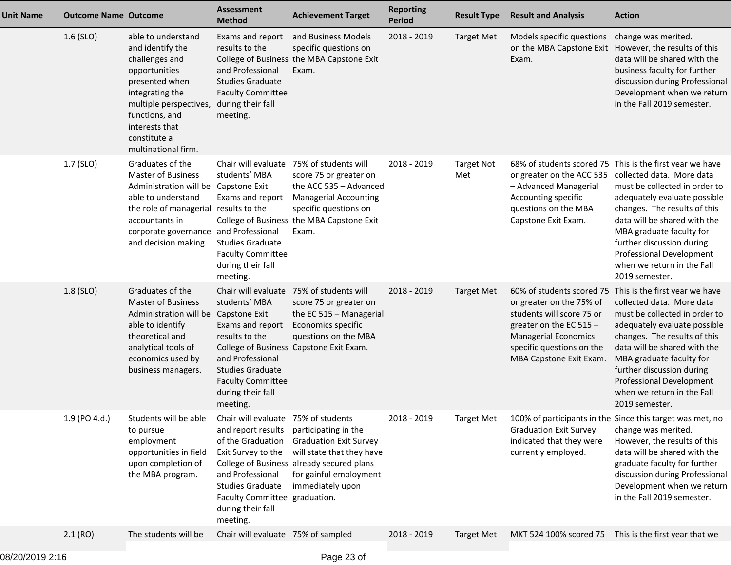| <b>Unit Name</b> | <b>Outcome Name Outcome</b> |                                                                                                                                                                                                                          | <b>Assessment</b><br><b>Method</b>                                                                                                                                                                                    | <b>Achievement Target</b>                                                                                                                                                               | <b>Reporting</b><br>Period | <b>Result Type</b>       | <b>Result and Analysis</b>                                                                                                                                                | <b>Action</b>                                                                                                                                                                                                                                                                                                                                                      |
|------------------|-----------------------------|--------------------------------------------------------------------------------------------------------------------------------------------------------------------------------------------------------------------------|-----------------------------------------------------------------------------------------------------------------------------------------------------------------------------------------------------------------------|-----------------------------------------------------------------------------------------------------------------------------------------------------------------------------------------|----------------------------|--------------------------|---------------------------------------------------------------------------------------------------------------------------------------------------------------------------|--------------------------------------------------------------------------------------------------------------------------------------------------------------------------------------------------------------------------------------------------------------------------------------------------------------------------------------------------------------------|
|                  | $1.6$ (SLO)                 | able to understand<br>and identify the<br>challenges and<br>opportunities<br>presented when<br>integrating the<br>multiple perspectives,<br>functions, and<br>interests that<br>constitute a<br>multinational firm.      | Exams and report<br>results to the<br>and Professional<br><b>Studies Graduate</b><br><b>Faculty Committee</b><br>during their fall<br>meeting.                                                                        | and Business Models<br>specific questions on<br>College of Business the MBA Capstone Exit<br>Exam.                                                                                      | 2018 - 2019                | <b>Target Met</b>        | Models specific questions<br>on the MBA Capstone Exit<br>Exam.                                                                                                            | change was merited.<br>However, the results of this<br>data will be shared with the<br>business faculty for further<br>discussion during Professional<br>Development when we return<br>in the Fall 2019 semester.                                                                                                                                                  |
|                  | 1.7 (SLO)                   | Graduates of the<br><b>Master of Business</b><br>Administration will be Capstone Exit<br>able to understand<br>the role of managerial<br>accountants in<br>corporate governance and Professional<br>and decision making. | Chair will evaluate<br>students' MBA<br>Exams and report<br>results to the<br><b>Studies Graduate</b><br><b>Faculty Committee</b><br>during their fall<br>meeting.                                                    | 75% of students will<br>score 75 or greater on<br>the ACC 535 - Advanced<br><b>Managerial Accounting</b><br>specific questions on<br>College of Business the MBA Capstone Exit<br>Exam. | 2018 - 2019                | <b>Target Not</b><br>Met | or greater on the ACC 535<br>- Advanced Managerial<br>Accounting specific<br>questions on the MBA<br>Capstone Exit Exam.                                                  | 68% of students scored 75 This is the first year we have<br>collected data. More data<br>must be collected in order to<br>adequately evaluate possible<br>changes. The results of this<br>data will be shared with the<br>MBA graduate faculty for<br>further discussion during<br><b>Professional Development</b><br>when we return in the Fall<br>2019 semester. |
|                  | $1.8$ (SLO)                 | Graduates of the<br><b>Master of Business</b><br>Administration will be<br>able to identify<br>theoretical and<br>analytical tools of<br>economics used by<br>business managers.                                         | students' MBA<br>Capstone Exit<br>Exams and report<br>results to the<br>and Professional<br><b>Studies Graduate</b><br><b>Faculty Committee</b><br>during their fall<br>meeting.                                      | Chair will evaluate 75% of students will<br>score 75 or greater on<br>the EC 515 - Managerial<br>Economics specific<br>questions on the MBA<br>College of Business Capstone Exit Exam.  | 2018 - 2019                | <b>Target Met</b>        | or greater on the 75% of<br>students will score 75 or<br>greater on the EC 515 $-$<br><b>Managerial Economics</b><br>specific questions on the<br>MBA Capstone Exit Exam. | 60% of students scored 75 This is the first year we have<br>collected data. More data<br>must be collected in order to<br>adequately evaluate possible<br>changes. The results of this<br>data will be shared with the<br>MBA graduate faculty for<br>further discussion during<br>Professional Development<br>when we return in the Fall<br>2019 semester.        |
|                  | 1.9 (PO 4.d.)               | Students will be able<br>to pursue<br>employment<br>opportunities in field<br>upon completion of<br>the MBA program.                                                                                                     | Chair will evaluate 75% of students<br>and report results<br>of the Graduation<br>Exit Survey to the<br>and Professional<br><b>Studies Graduate</b><br>Faculty Committee graduation.<br>during their fall<br>meeting. | participating in the<br><b>Graduation Exit Survey</b><br>will state that they have<br>College of Business already secured plans<br>for gainful employment<br>immediately upon           | 2018 - 2019                | <b>Target Met</b>        | <b>Graduation Exit Survey</b><br>indicated that they were<br>currently employed.                                                                                          | 100% of participants in the Since this target was met, no<br>change was merited.<br>However, the results of this<br>data will be shared with the<br>graduate faculty for further<br>discussion during Professional<br>Development when we return<br>in the Fall 2019 semester.                                                                                     |
|                  | 2.1(RO)                     | The students will be                                                                                                                                                                                                     | Chair will evaluate 75% of sampled                                                                                                                                                                                    |                                                                                                                                                                                         | 2018 - 2019                | <b>Target Met</b>        |                                                                                                                                                                           | MKT 524 100% scored 75 This is the first year that we                                                                                                                                                                                                                                                                                                              |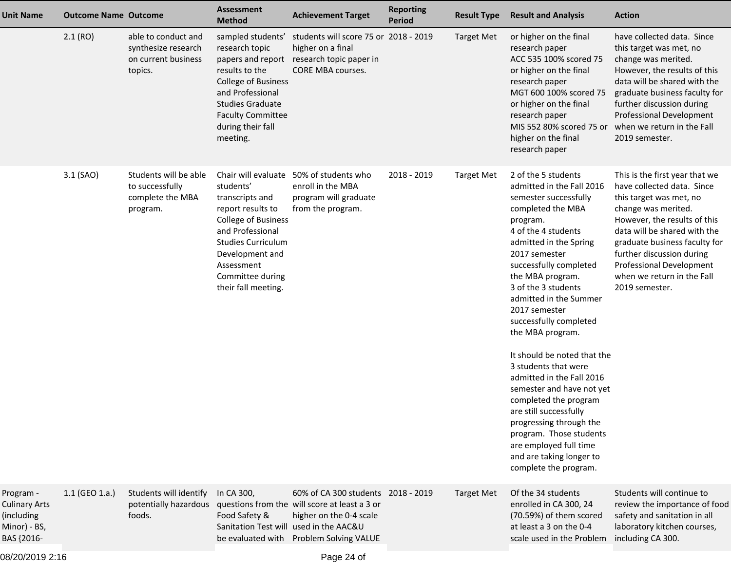| <b>Unit Name</b>                                                              | <b>Outcome Name Outcome</b> |                                                                              | <b>Assessment</b><br><b>Method</b>                                                                                                                                                                                                  | <b>Achievement Target</b>                                                                                                               | <b>Reporting</b><br><b>Period</b> | <b>Result Type</b> | <b>Result and Analysis</b>                                                                                                                                                                                                                                                                                                                                                                                                                                                                                                                                                                                                                          | <b>Action</b>                                                                                                                                                                                                                                                                                                            |
|-------------------------------------------------------------------------------|-----------------------------|------------------------------------------------------------------------------|-------------------------------------------------------------------------------------------------------------------------------------------------------------------------------------------------------------------------------------|-----------------------------------------------------------------------------------------------------------------------------------------|-----------------------------------|--------------------|-----------------------------------------------------------------------------------------------------------------------------------------------------------------------------------------------------------------------------------------------------------------------------------------------------------------------------------------------------------------------------------------------------------------------------------------------------------------------------------------------------------------------------------------------------------------------------------------------------------------------------------------------------|--------------------------------------------------------------------------------------------------------------------------------------------------------------------------------------------------------------------------------------------------------------------------------------------------------------------------|
|                                                                               | 2.1(RO)                     | able to conduct and<br>synthesize research<br>on current business<br>topics. | sampled students'<br>research topic<br>papers and report<br>results to the<br><b>College of Business</b><br>and Professional<br><b>Studies Graduate</b><br><b>Faculty Committee</b><br>during their fall<br>meeting.                | students will score 75 or 2018 - 2019<br>higher on a final<br>research topic paper in<br>CORE MBA courses.                              |                                   | <b>Target Met</b>  | or higher on the final<br>research paper<br>ACC 535 100% scored 75<br>or higher on the final<br>research paper<br>MGT 600 100% scored 75<br>or higher on the final<br>research paper<br>MIS 552 80% scored 75 or<br>higher on the final<br>research paper                                                                                                                                                                                                                                                                                                                                                                                           | have collected data. Since<br>this target was met, no<br>change was merited.<br>However, the results of this<br>data will be shared with the<br>graduate business faculty for<br>further discussion during<br>Professional Development<br>when we return in the Fall<br>2019 semester.                                   |
|                                                                               | 3.1 (SAO)                   | Students will be able<br>to successfully<br>complete the MBA<br>program.     | Chair will evaluate<br>students'<br>transcripts and<br>report results to<br><b>College of Business</b><br>and Professional<br><b>Studies Curriculum</b><br>Development and<br>Assessment<br>Committee during<br>their fall meeting. | 50% of students who<br>enroll in the MBA<br>program will graduate<br>from the program.                                                  | 2018 - 2019                       | <b>Target Met</b>  | 2 of the 5 students<br>admitted in the Fall 2016<br>semester successfully<br>completed the MBA<br>program.<br>4 of the 4 students<br>admitted in the Spring<br>2017 semester<br>successfully completed<br>the MBA program.<br>3 of the 3 students<br>admitted in the Summer<br>2017 semester<br>successfully completed<br>the MBA program.<br>It should be noted that the<br>3 students that were<br>admitted in the Fall 2016<br>semester and have not yet<br>completed the program<br>are still successfully<br>progressing through the<br>program. Those students<br>are employed full time<br>and are taking longer to<br>complete the program. | This is the first year that we<br>have collected data. Since<br>this target was met, no<br>change was merited.<br>However, the results of this<br>data will be shared with the<br>graduate business faculty for<br>further discussion during<br>Professional Development<br>when we return in the Fall<br>2019 semester. |
| Program -<br><b>Culinary Arts</b><br>(including<br>Minor) - BS,<br>BAS {2016- | $1.1$ (GEO 1.a.)            | Students will identify<br>potentially hazardous<br>foods.                    | In CA 300,<br>Food Safety &<br>Sanitation Test will used in the AAC&U<br>be evaluated with                                                                                                                                          | 60% of CA 300 students 2018 - 2019<br>questions from the will score at least a 3 or<br>higher on the 0-4 scale<br>Problem Solving VALUE |                                   | <b>Target Met</b>  | Of the 34 students<br>enrolled in CA 300, 24<br>(70.59%) of them scored<br>at least a 3 on the 0-4<br>scale used in the Problem                                                                                                                                                                                                                                                                                                                                                                                                                                                                                                                     | Students will continue to<br>review the importance of food<br>safety and sanitation in all<br>laboratory kitchen courses,<br>including CA 300.                                                                                                                                                                           |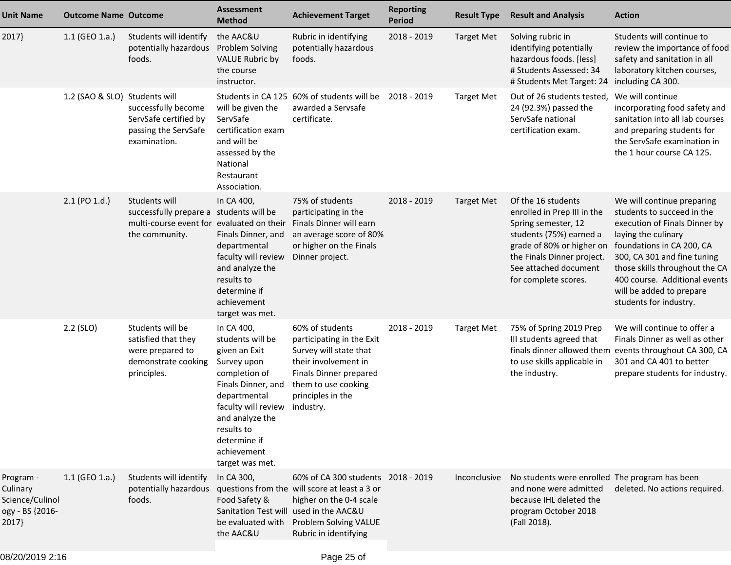| <b>Unit Name</b>                                                     | <b>Outcome Name Outcome</b>   |                                                                                                                         | Assessment<br><b>Method</b>                                                                                                                                                                                                     | <b>Achievement Target</b>                                                                                                                                                                                  | <b>Reporting</b><br><b>Period</b> | <b>Result Type</b> | <b>Result and Analysis</b>                                                                                                                                                                                      | <b>Action</b>                                                                                                                                                                                                                                                                                         |
|----------------------------------------------------------------------|-------------------------------|-------------------------------------------------------------------------------------------------------------------------|---------------------------------------------------------------------------------------------------------------------------------------------------------------------------------------------------------------------------------|------------------------------------------------------------------------------------------------------------------------------------------------------------------------------------------------------------|-----------------------------------|--------------------|-----------------------------------------------------------------------------------------------------------------------------------------------------------------------------------------------------------------|-------------------------------------------------------------------------------------------------------------------------------------------------------------------------------------------------------------------------------------------------------------------------------------------------------|
| 2017}                                                                | 1.1 (GEO 1.a.)                | Students will identify<br>potentially hazardous<br>foods.                                                               | the AAC&U<br>Problem Solving<br><b>VALUE Rubric by</b><br>the course<br>instructor.                                                                                                                                             | Rubric in identifying<br>potentially hazardous<br>foods.                                                                                                                                                   | 2018 - 2019                       | <b>Target Met</b>  | Solving rubric in<br>identifying potentially<br>hazardous foods. [less]<br># Students Assessed: 34<br># Students Met Target: 24                                                                                 | Students will continue to<br>review the importance of food<br>safety and sanitation in all<br>laboratory kitchen courses,<br>including CA 300.                                                                                                                                                        |
|                                                                      | 1.2 (SAO & SLO) Students will | successfully become<br>ServSafe certified by<br>passing the ServSafe<br>examination.                                    | will be given the<br>ServSafe<br>certification exam<br>and will be<br>assessed by the<br>National<br>Restaurant<br>Association.                                                                                                 | Students in CA 125 60% of students will be<br>awarded a Servsafe<br>certificate.                                                                                                                           | 2018 - 2019                       | <b>Target Met</b>  | Out of 26 students tested, We will continue<br>24 (92.3%) passed the<br>ServSafe national<br>certification exam.                                                                                                | incorporating food safety and<br>sanitation into all lab courses<br>and preparing students for<br>the ServSafe examination in<br>the 1 hour course CA 125.                                                                                                                                            |
|                                                                      | 2.1 (PO 1.d.)                 | Students will<br>successfully prepare a students will be<br>multi-course event for evaluated on their<br>the community. | In CA 400,<br>Finals Dinner, and<br>departmental<br>faculty will review<br>and analyze the<br>results to<br>determine if<br>achievement<br>target was met.                                                                      | 75% of students<br>participating in the<br>Finals Dinner will earn<br>an average score of 80%<br>or higher on the Finals<br>Dinner project.                                                                | 2018 - 2019                       | <b>Target Met</b>  | Of the 16 students<br>enrolled in Prep III in the<br>Spring semester, 12<br>students (75%) earned a<br>grade of 80% or higher on<br>the Finals Dinner project.<br>See attached document<br>for complete scores. | We will continue preparing<br>students to succeed in the<br>execution of Finals Dinner by<br>laying the culinary<br>foundations in CA 200, CA<br>300, CA 301 and fine tuning<br>those skills throughout the CA<br>400 course. Additional events<br>will be added to prepare<br>students for industry. |
|                                                                      | $2.2$ (SLO)                   | Students will be<br>satisfied that they<br>were prepared to<br>demonstrate cooking<br>principles.                       | In CA 400,<br>students will be<br>given an Exit<br>Survey upon<br>completion of<br>Finals Dinner, and<br>departmental<br>faculty will review<br>and analyze the<br>results to<br>determine if<br>achievement<br>target was met. | 60% of students<br>participating in the Exit<br>Survey will state that<br>their involvement in<br>Finals Dinner prepared<br>them to use cooking<br>principles in the<br>industry.                          | 2018 - 2019                       | <b>Target Met</b>  | 75% of Spring 2019 Prep<br>III students agreed that<br>to use skills applicable in<br>the industry.                                                                                                             | We will continue to offer a<br>Finals Dinner as well as other<br>finals dinner allowed them events throughout CA 300, CA<br>301 and CA 401 to better<br>prepare students for industry.                                                                                                                |
| Program -<br>Culinary<br>Science/Culinol<br>ogy - BS {2016-<br>2017} | 1.1 (GEO 1.a.)                | Students will identify<br>potentially hazardous<br>foods.                                                               | In CA 300,<br>Food Safety &<br>be evaluated with<br>the AAC&U                                                                                                                                                                   | 60% of CA 300 students 2018 - 2019<br>questions from the will score at least a 3 or<br>higher on the 0-4 scale<br>Sanitation Test will used in the AAC&U<br>Problem Solving VALUE<br>Rubric in identifying |                                   | Inconclusive       | No students were enrolled The program has been<br>and none were admitted<br>because IHL deleted the<br>program October 2018<br>(Fall 2018).                                                                     | deleted. No actions required.                                                                                                                                                                                                                                                                         |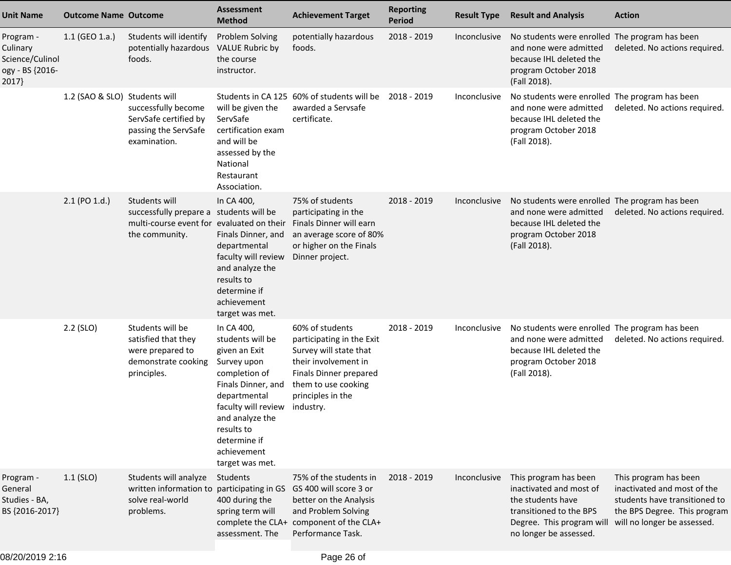| <b>Unit Name</b>                                                    | <b>Outcome Name Outcome</b>   |                                                                                                                         | <b>Assessment</b><br><b>Method</b>                                                                                                                                                                                              | <b>Achievement Target</b>                                                                                                                                                         | <b>Reporting</b><br><b>Period</b> | <b>Result Type</b> | <b>Result and Analysis</b>                                                                                                                              | <b>Action</b>                                                                                                                                        |
|---------------------------------------------------------------------|-------------------------------|-------------------------------------------------------------------------------------------------------------------------|---------------------------------------------------------------------------------------------------------------------------------------------------------------------------------------------------------------------------------|-----------------------------------------------------------------------------------------------------------------------------------------------------------------------------------|-----------------------------------|--------------------|---------------------------------------------------------------------------------------------------------------------------------------------------------|------------------------------------------------------------------------------------------------------------------------------------------------------|
| Program -<br>Culinary<br>Science/Culinol<br>ogy - BS {2016-<br>2017 | 1.1 (GEO 1.a.)                | Students will identify<br>potentially hazardous<br>foods.                                                               | Problem Solving<br><b>VALUE Rubric by</b><br>the course<br>instructor.                                                                                                                                                          | potentially hazardous<br>foods.                                                                                                                                                   | 2018 - 2019                       | Inconclusive       | No students were enrolled The program has been<br>and none were admitted<br>because IHL deleted the<br>program October 2018<br>(Fall 2018).             | deleted. No actions required.                                                                                                                        |
|                                                                     | 1.2 (SAO & SLO) Students will | successfully become<br>ServSafe certified by<br>passing the ServSafe<br>examination.                                    | will be given the<br>ServSafe<br>certification exam<br>and will be<br>assessed by the<br>National<br>Restaurant<br>Association.                                                                                                 | Students in CA 125 60% of students will be<br>awarded a Servsafe<br>certificate.                                                                                                  | 2018 - 2019                       | Inconclusive       | No students were enrolled The program has been<br>and none were admitted<br>because IHL deleted the<br>program October 2018<br>(Fall 2018).             | deleted. No actions required.                                                                                                                        |
|                                                                     | 2.1 (PO 1.d.)                 | Students will<br>successfully prepare a students will be<br>multi-course event for evaluated on their<br>the community. | In CA 400,<br>Finals Dinner, and<br>departmental<br>faculty will review<br>and analyze the<br>results to<br>determine if<br>achievement<br>target was met.                                                                      | 75% of students<br>participating in the<br>Finals Dinner will earn<br>an average score of 80%<br>or higher on the Finals<br>Dinner project.                                       | 2018 - 2019                       | Inconclusive       | No students were enrolled The program has been<br>and none were admitted<br>because IHL deleted the<br>program October 2018<br>(Fall 2018).             | deleted. No actions required.                                                                                                                        |
|                                                                     | $2.2$ (SLO)                   | Students will be<br>satisfied that they<br>were prepared to<br>demonstrate cooking<br>principles.                       | In CA 400,<br>students will be<br>given an Exit<br>Survey upon<br>completion of<br>Finals Dinner, and<br>departmental<br>faculty will review<br>and analyze the<br>results to<br>determine if<br>achievement<br>target was met. | 60% of students<br>participating in the Exit<br>Survey will state that<br>their involvement in<br>Finals Dinner prepared<br>them to use cooking<br>principles in the<br>industry. | 2018 - 2019                       | Inconclusive       | No students were enrolled The program has been<br>and none were admitted<br>because IHL deleted the<br>program October 2018<br>(Fall 2018).             | deleted. No actions required.                                                                                                                        |
| Program -<br>General<br>Studies - BA,<br>BS {2016-2017}             | $1.1$ (SLO)                   | Students will analyze<br>written information to<br>solve real-world<br>problems.                                        | Students<br>participating in GS<br>400 during the<br>spring term will<br>assessment. The                                                                                                                                        | 75% of the students in<br>GS 400 will score 3 or<br>better on the Analysis<br>and Problem Solving<br>complete the CLA+ component of the CLA+<br>Performance Task.                 | 2018 - 2019                       | Inconclusive       | This program has been<br>inactivated and most of<br>the students have<br>transitioned to the BPS<br>Degree. This program will<br>no longer be assessed. | This program has been<br>inactivated and most of the<br>students have transitioned to<br>the BPS Degree. This program<br>will no longer be assessed. |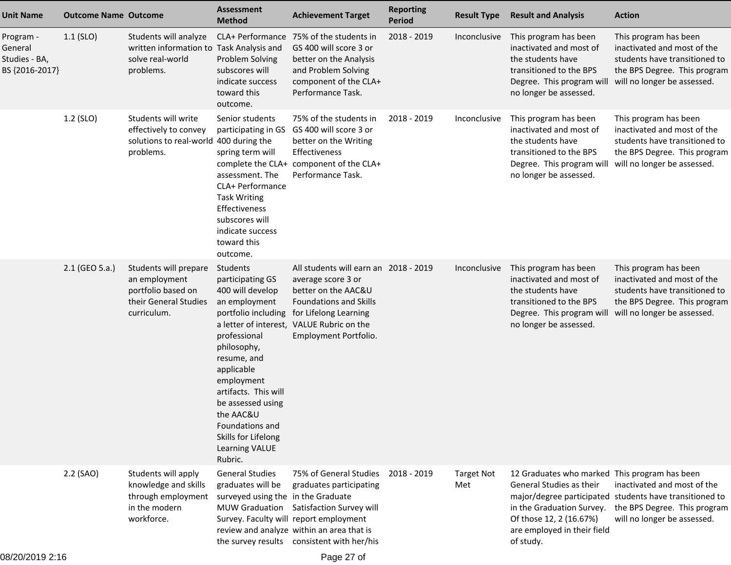| <b>Unit Name</b>                                        | <b>Outcome Name Outcome</b> |                                                                                                      | <b>Assessment</b><br><b>Method</b>                                                                                                                                                                                                                                                                  | <b>Achievement Target</b>                                                                                                                                                                                                         | <b>Reporting</b><br><b>Period</b> | <b>Result Type</b>       | <b>Result and Analysis</b>                                                                                                                                                          | <b>Action</b>                                                                                                                                                                   |
|---------------------------------------------------------|-----------------------------|------------------------------------------------------------------------------------------------------|-----------------------------------------------------------------------------------------------------------------------------------------------------------------------------------------------------------------------------------------------------------------------------------------------------|-----------------------------------------------------------------------------------------------------------------------------------------------------------------------------------------------------------------------------------|-----------------------------------|--------------------------|-------------------------------------------------------------------------------------------------------------------------------------------------------------------------------------|---------------------------------------------------------------------------------------------------------------------------------------------------------------------------------|
| Program -<br>General<br>Studies - BA,<br>BS {2016-2017} | $1.1$ (SLO)                 | Students will analyze<br>written information to Task Analysis and<br>solve real-world<br>problems.   | CLA+ Performance<br>Problem Solving<br>subscores will<br>indicate success<br>toward this<br>outcome.                                                                                                                                                                                                | 75% of the students in<br>GS 400 will score 3 or<br>better on the Analysis<br>and Problem Solving<br>component of the CLA+<br>Performance Task.                                                                                   | 2018 - 2019                       | Inconclusive             | This program has been<br>inactivated and most of<br>the students have<br>transitioned to the BPS<br>Degree. This program will<br>no longer be assessed.                             | This program has been<br>inactivated and most of the<br>students have transitioned to<br>the BPS Degree. This program<br>will no longer be assessed.                            |
|                                                         | 1.2 (SLO)                   | Students will write<br>effectively to convey<br>solutions to real-world 400 during the<br>problems.  | Senior students<br>participating in GS<br>spring term will<br>assessment. The<br>CLA+ Performance<br><b>Task Writing</b><br>Effectiveness<br>subscores will<br>indicate success<br>toward this<br>outcome.                                                                                          | 75% of the students in<br>GS 400 will score 3 or<br>better on the Writing<br>Effectiveness<br>complete the CLA+ component of the CLA+<br>Performance Task.                                                                        | 2018 - 2019                       | Inconclusive             | This program has been<br>inactivated and most of<br>the students have<br>transitioned to the BPS<br>Degree. This program will will no longer be assessed.<br>no longer be assessed. | This program has been<br>inactivated and most of the<br>students have transitioned to<br>the BPS Degree. This program                                                           |
|                                                         | 2.1 (GEO 5.a.)              | Students will prepare<br>an employment<br>portfolio based on<br>their General Studies<br>curriculum. | Students<br>participating GS<br>400 will develop<br>an employment<br>portfolio including<br>professional<br>philosophy,<br>resume, and<br>applicable<br>employment<br>artifacts. This will<br>be assessed using<br>the AAC&U<br>Foundations and<br>Skills for Lifelong<br>Learning VALUE<br>Rubric. | All students will earn an 2018 - 2019<br>average score 3 or<br>better on the AAC&U<br><b>Foundations and Skills</b><br>for Lifelong Learning<br>a letter of interest, VALUE Rubric on the<br>Employment Portfolio.                |                                   | Inconclusive             | This program has been<br>inactivated and most of<br>the students have<br>transitioned to the BPS<br>Degree. This program will<br>no longer be assessed.                             | This program has been<br>inactivated and most of the<br>students have transitioned to<br>the BPS Degree. This program<br>will no longer be assessed.                            |
|                                                         | 2.2 (SAO)                   | Students will apply<br>knowledge and skills<br>through employment<br>in the modern<br>workforce.     | <b>General Studies</b><br>graduates will be<br>surveyed using the in the Graduate                                                                                                                                                                                                                   | 75% of General Studies<br>graduates participating<br>MUW Graduation Satisfaction Survey will<br>Survey. Faculty will report employment<br>review and analyze within an area that is<br>the survey results consistent with her/his | 2018 - 2019                       | <b>Target Not</b><br>Met | 12 Graduates who marked This program has been<br>General Studies as their<br>Of those 12, 2 (16.67%)<br>are employed in their field<br>of study.                                    | inactivated and most of the<br>major/degree participated students have transitioned to<br>in the Graduation Survey. the BPS Degree. This program<br>will no longer be assessed. |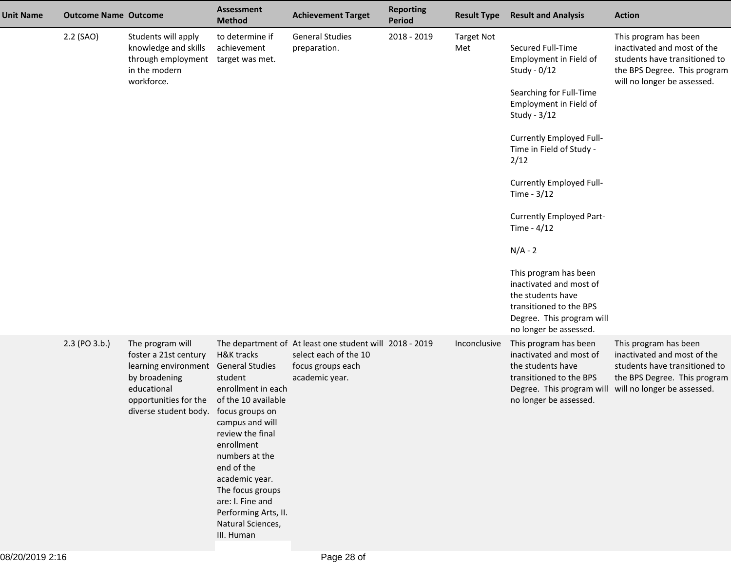| <b>Unit Name</b> | <b>Outcome Name Outcome</b> |                                                                                                                                                     | <b>Assessment</b><br><b>Method</b>                                                                                                                                                                                                                                                                                                   | <b>Achievement Target</b>                                                                                               | <b>Reporting</b><br>Period | <b>Result Type</b>       | <b>Result and Analysis</b>                                                                                                                                                                                                                                                                                                                                                                                                                                       | <b>Action</b>                                                                                                                                        |
|------------------|-----------------------------|-----------------------------------------------------------------------------------------------------------------------------------------------------|--------------------------------------------------------------------------------------------------------------------------------------------------------------------------------------------------------------------------------------------------------------------------------------------------------------------------------------|-------------------------------------------------------------------------------------------------------------------------|----------------------------|--------------------------|------------------------------------------------------------------------------------------------------------------------------------------------------------------------------------------------------------------------------------------------------------------------------------------------------------------------------------------------------------------------------------------------------------------------------------------------------------------|------------------------------------------------------------------------------------------------------------------------------------------------------|
|                  | 2.2 (SAO)                   | Students will apply<br>knowledge and skills<br>through employment<br>in the modern<br>workforce.                                                    | to determine if<br>achievement<br>target was met.                                                                                                                                                                                                                                                                                    | <b>General Studies</b><br>preparation.                                                                                  | 2018 - 2019                | <b>Target Not</b><br>Met | Secured Full-Time<br>Employment in Field of<br>Study - 0/12<br>Searching for Full-Time<br>Employment in Field of<br>Study - 3/12<br>Currently Employed Full-<br>Time in Field of Study -<br>2/12<br>Currently Employed Full-<br>Time - 3/12<br>Currently Employed Part-<br>Time - $4/12$<br>$N/A - 2$<br>This program has been<br>inactivated and most of<br>the students have<br>transitioned to the BPS<br>Degree. This program will<br>no longer be assessed. | This program has been<br>inactivated and most of the<br>students have transitioned to<br>the BPS Degree. This program<br>will no longer be assessed. |
|                  | 2.3 (PO 3.b.)               | The program will<br>foster a 21st century<br>learning environment<br>by broadening<br>educational<br>opportunities for the<br>diverse student body. | <b>H&amp;K tracks</b><br><b>General Studies</b><br>student<br>enrollment in each<br>of the 10 available<br>focus groups on<br>campus and will<br>review the final<br>enrollment<br>numbers at the<br>end of the<br>academic year.<br>The focus groups<br>are: I. Fine and<br>Performing Arts, II.<br>Natural Sciences,<br>III. Human | The department of At least one student will 2018 - 2019<br>select each of the 10<br>focus groups each<br>academic year. |                            | Inconclusive             | This program has been<br>inactivated and most of<br>the students have<br>transitioned to the BPS<br>Degree. This program will<br>no longer be assessed.                                                                                                                                                                                                                                                                                                          | This program has been<br>inactivated and most of the<br>students have transitioned to<br>the BPS Degree. This program<br>will no longer be assessed. |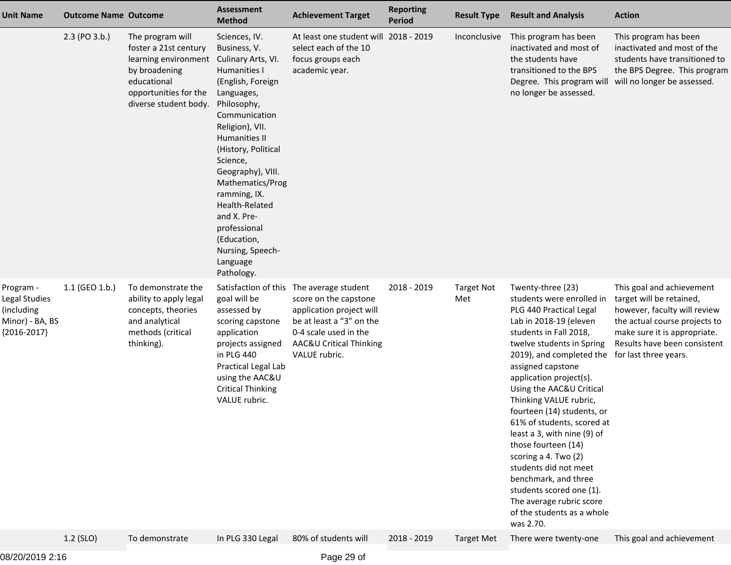| <b>Unit Name</b>                                                             | <b>Outcome Name Outcome</b> |                                                                                                                                                     | <b>Assessment</b><br><b>Method</b>                                                                                                                                                                                                                                                                                                                                                          | <b>Achievement Target</b>                                                                                                                                                 | <b>Reporting</b><br><b>Period</b> | <b>Result Type</b>       | <b>Result and Analysis</b>                                                                                                                                                                                                                                                                                                                                                                                                                                                                                                                                                                                       | <b>Action</b>                                                                                                                                                                          |
|------------------------------------------------------------------------------|-----------------------------|-----------------------------------------------------------------------------------------------------------------------------------------------------|---------------------------------------------------------------------------------------------------------------------------------------------------------------------------------------------------------------------------------------------------------------------------------------------------------------------------------------------------------------------------------------------|---------------------------------------------------------------------------------------------------------------------------------------------------------------------------|-----------------------------------|--------------------------|------------------------------------------------------------------------------------------------------------------------------------------------------------------------------------------------------------------------------------------------------------------------------------------------------------------------------------------------------------------------------------------------------------------------------------------------------------------------------------------------------------------------------------------------------------------------------------------------------------------|----------------------------------------------------------------------------------------------------------------------------------------------------------------------------------------|
|                                                                              | $2.3$ (PO $3.b.$ )          | The program will<br>foster a 21st century<br>learning environment<br>by broadening<br>educational<br>opportunities for the<br>diverse student body. | Sciences, IV.<br>Business, V.<br>Culinary Arts, VI.<br>Humanities I<br>(English, Foreign<br>Languages,<br>Philosophy,<br>Communication<br>Religion), VII.<br><b>Humanities II</b><br>(History, Political<br>Science,<br>Geography), VIII.<br>Mathematics/Prog<br>ramming, IX.<br>Health-Related<br>and X. Pre-<br>professional<br>(Education,<br>Nursing, Speech-<br>Language<br>Pathology. | At least one student will 2018 - 2019<br>select each of the 10<br>focus groups each<br>academic year.                                                                     |                                   | Inconclusive             | This program has been<br>inactivated and most of<br>the students have<br>transitioned to the BPS<br>Degree. This program will<br>no longer be assessed.                                                                                                                                                                                                                                                                                                                                                                                                                                                          | This program has been<br>inactivated and most of the<br>students have transitioned to<br>the BPS Degree. This program<br>will no longer be assessed.                                   |
| Program -<br>Legal Studies<br>(including<br>Minor) - BA, BS<br>${2016-2017}$ | $1.1$ (GEO 1.b.)            | To demonstrate the<br>ability to apply legal<br>concepts, theories<br>and analytical<br>methods (critical<br>thinking).                             | Satisfaction of this<br>goal will be<br>assessed by<br>scoring capstone<br>application<br>projects assigned<br>in PLG 440<br>Practical Legal Lab<br>using the AAC&U<br><b>Critical Thinking</b><br>VALUE rubric.                                                                                                                                                                            | The average student<br>score on the capstone<br>application project will<br>be at least a "3" on the<br>0-4 scale used in the<br>AAC&U Critical Thinking<br>VALUE rubric. | 2018 - 2019                       | <b>Target Not</b><br>Met | Twenty-three (23)<br>students were enrolled in<br>PLG 440 Practical Legal<br>Lab in 2018-19 (eleven<br>students in Fall 2018,<br>twelve students in Spring<br>2019), and completed the for last three years.<br>assigned capstone<br>application project(s).<br>Using the AAC&U Critical<br>Thinking VALUE rubric,<br>fourteen (14) students, or<br>61% of students, scored at<br>least a 3, with nine (9) of<br>those fourteen (14)<br>scoring a 4. Two (2)<br>students did not meet<br>benchmark, and three<br>students scored one (1).<br>The average rubric score<br>of the students as a whole<br>was 2.70. | This goal and achievement<br>target will be retained,<br>however, faculty will review<br>the actual course projects to<br>make sure it is appropriate.<br>Results have been consistent |
|                                                                              | 1.2 (SLO)                   | To demonstrate                                                                                                                                      | In PLG 330 Legal                                                                                                                                                                                                                                                                                                                                                                            | 80% of students will                                                                                                                                                      | 2018 - 2019                       | <b>Target Met</b>        | There were twenty-one                                                                                                                                                                                                                                                                                                                                                                                                                                                                                                                                                                                            | This goal and achievement                                                                                                                                                              |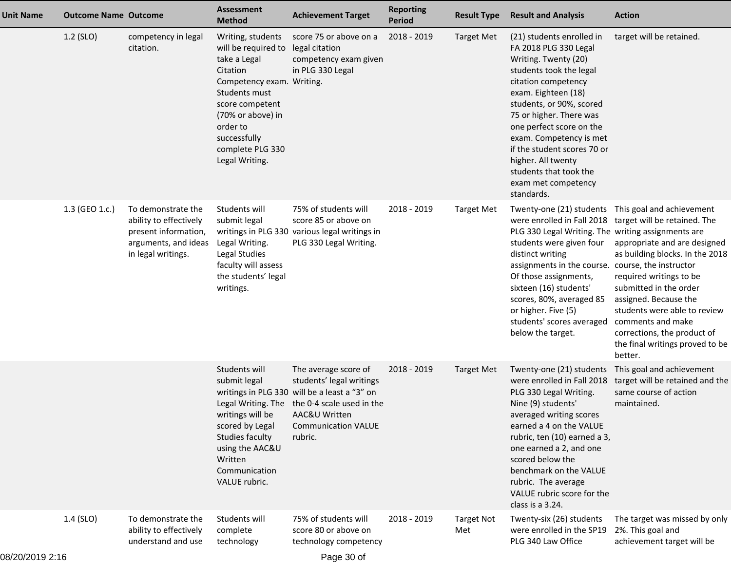| <b>Unit Name</b> | <b>Outcome Name Outcome</b> |                                                                                                                    | <b>Assessment</b><br><b>Method</b>                                                                                                                                                                                           | <b>Achievement Target</b>                                                                                                                                                                                  | <b>Reporting</b><br><b>Period</b> | <b>Result Type</b>       | <b>Result and Analysis</b>                                                                                                                                                                                                                                                                                                                                                            | <b>Action</b>                                                                                                                                                                                                                                                                                                                                                                                    |
|------------------|-----------------------------|--------------------------------------------------------------------------------------------------------------------|------------------------------------------------------------------------------------------------------------------------------------------------------------------------------------------------------------------------------|------------------------------------------------------------------------------------------------------------------------------------------------------------------------------------------------------------|-----------------------------------|--------------------------|---------------------------------------------------------------------------------------------------------------------------------------------------------------------------------------------------------------------------------------------------------------------------------------------------------------------------------------------------------------------------------------|--------------------------------------------------------------------------------------------------------------------------------------------------------------------------------------------------------------------------------------------------------------------------------------------------------------------------------------------------------------------------------------------------|
|                  | 1.2 (SLO)                   | competency in legal<br>citation.                                                                                   | Writing, students<br>will be required to<br>take a Legal<br>Citation<br>Competency exam. Writing.<br>Students must<br>score competent<br>(70% or above) in<br>order to<br>successfully<br>complete PLG 330<br>Legal Writing. | score 75 or above on a<br>legal citation<br>competency exam given<br>in PLG 330 Legal                                                                                                                      | 2018 - 2019                       | <b>Target Met</b>        | (21) students enrolled in<br>FA 2018 PLG 330 Legal<br>Writing. Twenty (20)<br>students took the legal<br>citation competency<br>exam. Eighteen (18)<br>students, or 90%, scored<br>75 or higher. There was<br>one perfect score on the<br>exam. Competency is met<br>if the student scores 70 or<br>higher. All twenty<br>students that took the<br>exam met competency<br>standards. | target will be retained.                                                                                                                                                                                                                                                                                                                                                                         |
|                  | 1.3 (GEO 1.c.)              | To demonstrate the<br>ability to effectively<br>present information,<br>arguments, and ideas<br>in legal writings. | Students will<br>submit legal<br>Legal Writing.<br>Legal Studies<br>faculty will assess<br>the students' legal<br>writings.                                                                                                  | 75% of students will<br>score 85 or above on<br>writings in PLG 330 various legal writings in<br>PLG 330 Legal Writing.                                                                                    | 2018 - 2019                       | <b>Target Met</b>        | PLG 330 Legal Writing. The writing assignments are<br>students were given four<br>distinct writing<br>assignments in the course. course, the instructor<br>Of those assignments,<br>sixteen (16) students'<br>scores, 80%, averaged 85<br>or higher. Five (5)<br>students' scores averaged<br>below the target.                                                                       | Twenty-one (21) students This goal and achievement<br>were enrolled in Fall 2018 target will be retained. The<br>appropriate and are designed<br>as building blocks. In the 2018<br>required writings to be<br>submitted in the order<br>assigned. Because the<br>students were able to review<br>comments and make<br>corrections, the product of<br>the final writings proved to be<br>better. |
|                  |                             |                                                                                                                    | Students will<br>submit legal<br>writings will be<br>scored by Legal<br>Studies faculty<br>using the AAC&U<br>Written<br>Communication<br>VALUE rubric.                                                                      | The average score of<br>students' legal writings<br>writings in PLG 330 will be a least a "3" on<br>Legal Writing. The the 0-4 scale used in the<br>AAC&U Written<br><b>Communication VALUE</b><br>rubric. | 2018 - 2019                       | <b>Target Met</b>        | Twenty-one (21) students<br>were enrolled in Fall 2018<br>PLG 330 Legal Writing.<br>Nine (9) students'<br>averaged writing scores<br>earned a 4 on the VALUE<br>rubric, ten (10) earned a 3,<br>one earned a 2, and one<br>scored below the<br>benchmark on the VALUE<br>rubric. The average<br>VALUE rubric score for the<br>class is a 3.24.                                        | This goal and achievement<br>target will be retained and the<br>same course of action<br>maintained.                                                                                                                                                                                                                                                                                             |
|                  | 1.4 (SLO)                   | To demonstrate the<br>ability to effectively<br>understand and use                                                 | Students will<br>complete<br>technology                                                                                                                                                                                      | 75% of students will<br>score 80 or above on<br>technology competency                                                                                                                                      | 2018 - 2019                       | <b>Target Not</b><br>Met | Twenty-six (26) students<br>were enrolled in the SP19<br>PLG 340 Law Office                                                                                                                                                                                                                                                                                                           | The target was missed by only<br>2%. This goal and<br>achievement target will be                                                                                                                                                                                                                                                                                                                 |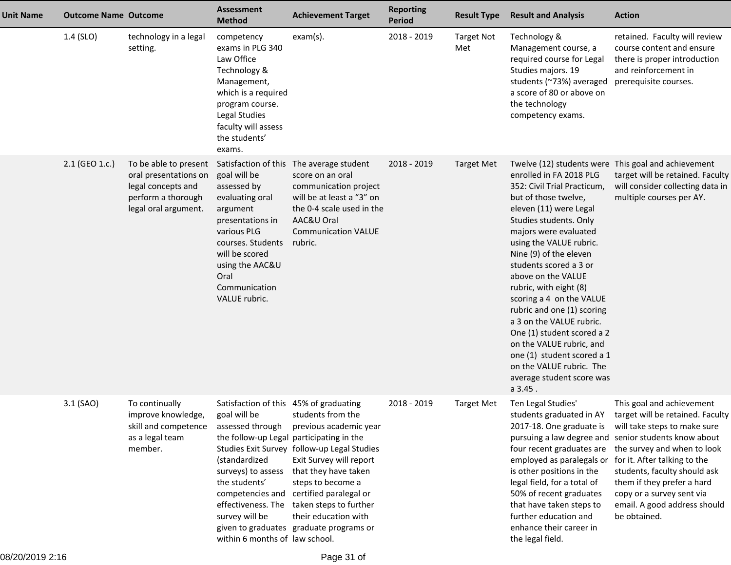| <b>Unit Name</b> | <b>Outcome Name Outcome</b> |                                                                                                                    | <b>Assessment</b><br><b>Method</b>                                                                                                                                                                                                 | <b>Achievement Target</b>                                                                                                                                                                                                                                                                                                     | <b>Reporting</b><br><b>Period</b> | <b>Result Type</b>       | <b>Result and Analysis</b>                                                                                                                                                                                                                                                                                                                                                                                                                                                                                                                   | <b>Action</b>                                                                                                                                                                                                                                                                                                                                                                      |
|------------------|-----------------------------|--------------------------------------------------------------------------------------------------------------------|------------------------------------------------------------------------------------------------------------------------------------------------------------------------------------------------------------------------------------|-------------------------------------------------------------------------------------------------------------------------------------------------------------------------------------------------------------------------------------------------------------------------------------------------------------------------------|-----------------------------------|--------------------------|----------------------------------------------------------------------------------------------------------------------------------------------------------------------------------------------------------------------------------------------------------------------------------------------------------------------------------------------------------------------------------------------------------------------------------------------------------------------------------------------------------------------------------------------|------------------------------------------------------------------------------------------------------------------------------------------------------------------------------------------------------------------------------------------------------------------------------------------------------------------------------------------------------------------------------------|
|                  | 1.4 (SLO)                   | technology in a legal<br>setting.                                                                                  | competency<br>exams in PLG 340<br>Law Office<br>Technology &<br>Management,<br>which is a required<br>program course.<br>Legal Studies<br>faculty will assess<br>the students'<br>exams.                                           | $exam(s)$ .                                                                                                                                                                                                                                                                                                                   | 2018 - 2019                       | <b>Target Not</b><br>Met | Technology &<br>Management course, a<br>required course for Legal<br>Studies majors. 19<br>students (~73%) averaged<br>a score of 80 or above on<br>the technology<br>competency exams.                                                                                                                                                                                                                                                                                                                                                      | retained. Faculty will review<br>course content and ensure<br>there is proper introduction<br>and reinforcement in<br>prerequisite courses.                                                                                                                                                                                                                                        |
|                  | 2.1 (GEO 1.c.)              | To be able to present<br>oral presentations on<br>legal concepts and<br>perform a thorough<br>legal oral argument. | goal will be<br>assessed by<br>evaluating oral<br>argument<br>presentations in<br>various PLG<br>courses. Students<br>will be scored<br>using the AAC&U<br>Oral<br>Communication<br>VALUE rubric.                                  | Satisfaction of this The average student<br>score on an oral<br>communication project<br>will be at least a "3" on<br>the 0-4 scale used in the<br>AAC&U Oral<br><b>Communication VALUE</b><br>rubric.                                                                                                                        | 2018 - 2019                       | <b>Target Met</b>        | enrolled in FA 2018 PLG<br>352: Civil Trial Practicum,<br>but of those twelve,<br>eleven (11) were Legal<br>Studies students. Only<br>majors were evaluated<br>using the VALUE rubric.<br>Nine (9) of the eleven<br>students scored a 3 or<br>above on the VALUE<br>rubric, with eight (8)<br>scoring a 4 on the VALUE<br>rubric and one (1) scoring<br>a 3 on the VALUE rubric.<br>One (1) student scored a 2<br>on the VALUE rubric, and<br>one (1) student scored a 1<br>on the VALUE rubric. The<br>average student score was<br>a 3.45. | Twelve (12) students were This goal and achievement<br>target will be retained. Faculty<br>will consider collecting data in<br>multiple courses per AY.                                                                                                                                                                                                                            |
|                  | 3.1 (SAO)                   | To continually<br>improve knowledge,<br>skill and competence<br>as a legal team<br>member.                         | Satisfaction of this 45% of graduating<br>goal will be<br>assessed through<br>the follow-up Legal participating in the<br>(standardized<br>surveys) to assess<br>the students'<br>survey will be<br>within 6 months of law school. | students from the<br>previous academic year<br>Studies Exit Survey follow-up Legal Studies<br>Exit Survey will report<br>that they have taken<br>steps to become a<br>competencies and certified paralegal or<br>effectiveness. The taken steps to further<br>their education with<br>given to graduates graduate programs or | 2018 - 2019                       | <b>Target Met</b>        | Ten Legal Studies'<br>2017-18. One graduate is<br>employed as paralegals or for it. After talking to the<br>is other positions in the<br>legal field, for a total of<br>50% of recent graduates<br>that have taken steps to<br>further education and<br>enhance their career in<br>the legal field.                                                                                                                                                                                                                                          | This goal and achievement<br>students graduated in AY target will be retained. Faculty<br>will take steps to make sure<br>pursuing a law degree and senior students know about<br>four recent graduates are the survey and when to look<br>students, faculty should ask<br>them if they prefer a hard<br>copy or a survey sent via<br>email. A good address should<br>be obtained. |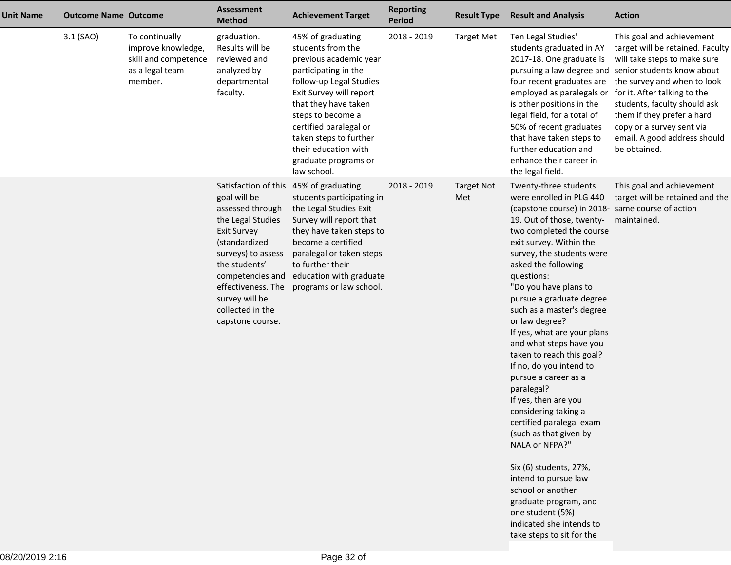| <b>Unit Name</b> | <b>Outcome Name Outcome</b> |                                                                                            | <b>Assessment</b><br><b>Method</b>                                                                                                                                                                                                                                                | <b>Achievement Target</b>                                                                                                                                                                                                                                                                                      | <b>Reporting</b><br><b>Period</b> | <b>Result Type</b>       | <b>Result and Analysis</b>                                                                                                                                                                                                                                                                                                                                                                                                                                                                                                                                                                                                                                                                                                                                                                                                   | <b>Action</b>                                                                                                                                                                                                                                                                                                                                                   |
|------------------|-----------------------------|--------------------------------------------------------------------------------------------|-----------------------------------------------------------------------------------------------------------------------------------------------------------------------------------------------------------------------------------------------------------------------------------|----------------------------------------------------------------------------------------------------------------------------------------------------------------------------------------------------------------------------------------------------------------------------------------------------------------|-----------------------------------|--------------------------|------------------------------------------------------------------------------------------------------------------------------------------------------------------------------------------------------------------------------------------------------------------------------------------------------------------------------------------------------------------------------------------------------------------------------------------------------------------------------------------------------------------------------------------------------------------------------------------------------------------------------------------------------------------------------------------------------------------------------------------------------------------------------------------------------------------------------|-----------------------------------------------------------------------------------------------------------------------------------------------------------------------------------------------------------------------------------------------------------------------------------------------------------------------------------------------------------------|
|                  | 3.1 (SAO)                   | To continually<br>improve knowledge,<br>skill and competence<br>as a legal team<br>member. | graduation.<br>Results will be<br>reviewed and<br>analyzed by<br>departmental<br>faculty.                                                                                                                                                                                         | 45% of graduating<br>students from the<br>previous academic year<br>participating in the<br>follow-up Legal Studies<br>Exit Survey will report<br>that they have taken<br>steps to become a<br>certified paralegal or<br>taken steps to further<br>their education with<br>graduate programs or<br>law school. | 2018 - 2019                       | <b>Target Met</b>        | Ten Legal Studies'<br>students graduated in AY<br>2017-18. One graduate is<br>four recent graduates are<br>employed as paralegals or<br>is other positions in the<br>legal field, for a total of<br>50% of recent graduates<br>that have taken steps to<br>further education and<br>enhance their career in<br>the legal field.                                                                                                                                                                                                                                                                                                                                                                                                                                                                                              | This goal and achievement<br>target will be retained. Faculty<br>will take steps to make sure<br>pursuing a law degree and senior students know about<br>the survey and when to look<br>for it. After talking to the<br>students, faculty should ask<br>them if they prefer a hard<br>copy or a survey sent via<br>email. A good address should<br>be obtained. |
|                  |                             |                                                                                            | Satisfaction of this 45% of graduating<br>goal will be<br>assessed through<br>the Legal Studies<br><b>Exit Survey</b><br>(standardized<br>surveys) to assess<br>the students'<br>competencies and<br>effectiveness. The<br>survey will be<br>collected in the<br>capstone course. | students participating in<br>the Legal Studies Exit<br>Survey will report that<br>they have taken steps to<br>become a certified<br>paralegal or taken steps<br>to further their<br>education with graduate<br>programs or law school.                                                                         | 2018 - 2019                       | <b>Target Not</b><br>Met | Twenty-three students<br>were enrolled in PLG 440<br>(capstone course) in 2018- same course of action<br>19. Out of those, twenty-<br>two completed the course<br>exit survey. Within the<br>survey, the students were<br>asked the following<br>questions:<br>"Do you have plans to<br>pursue a graduate degree<br>such as a master's degree<br>or law degree?<br>If yes, what are your plans<br>and what steps have you<br>taken to reach this goal?<br>If no, do you intend to<br>pursue a career as a<br>paralegal?<br>If yes, then are you<br>considering taking a<br>certified paralegal exam<br>(such as that given by<br>NALA or NFPA?"<br>Six (6) students, 27%,<br>intend to pursue law<br>school or another<br>graduate program, and<br>one student (5%)<br>indicated she intends to<br>take steps to sit for the | This goal and achievement<br>target will be retained and the<br>maintained.                                                                                                                                                                                                                                                                                     |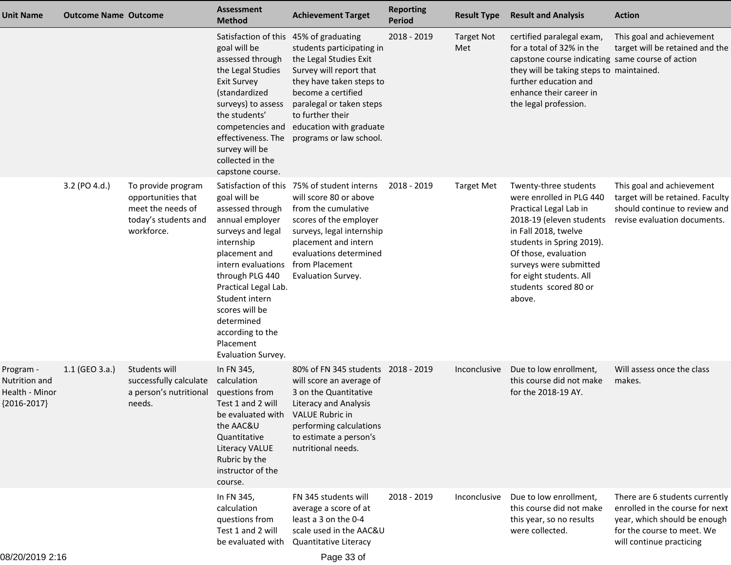| <b>Unit Name</b>                                                     | <b>Outcome Name Outcome</b> |                                                                                                     | <b>Assessment</b><br><b>Method</b>                                                                                                                                                                                                                                                | <b>Achievement Target</b>                                                                                                                                                                                                                     | <b>Reporting</b><br><b>Period</b> | <b>Result Type</b>       | <b>Result and Analysis</b>                                                                                                                                                                                                                                                   | <b>Action</b>                                                                                                                                               |
|----------------------------------------------------------------------|-----------------------------|-----------------------------------------------------------------------------------------------------|-----------------------------------------------------------------------------------------------------------------------------------------------------------------------------------------------------------------------------------------------------------------------------------|-----------------------------------------------------------------------------------------------------------------------------------------------------------------------------------------------------------------------------------------------|-----------------------------------|--------------------------|------------------------------------------------------------------------------------------------------------------------------------------------------------------------------------------------------------------------------------------------------------------------------|-------------------------------------------------------------------------------------------------------------------------------------------------------------|
|                                                                      |                             |                                                                                                     | Satisfaction of this 45% of graduating<br>goal will be<br>assessed through<br>the Legal Studies<br><b>Exit Survey</b><br>(standardized<br>surveys) to assess<br>the students'<br>competencies and<br>effectiveness. The<br>survey will be<br>collected in the<br>capstone course. | students participating in<br>the Legal Studies Exit<br>Survey will report that<br>they have taken steps to<br>become a certified<br>paralegal or taken steps<br>to further their<br>education with graduate<br>programs or law school.        | 2018 - 2019                       | <b>Target Not</b><br>Met | certified paralegal exam,<br>for a total of 32% in the<br>capstone course indicating same course of action<br>they will be taking steps to maintained.<br>further education and<br>enhance their career in<br>the legal profession.                                          | This goal and achievement<br>target will be retained and the                                                                                                |
|                                                                      | 3.2 (PO 4.d.)               | To provide program<br>opportunities that<br>meet the needs of<br>today's students and<br>workforce. | goal will be<br>assessed through<br>annual employer<br>surveys and legal<br>internship<br>placement and<br>intern evaluations<br>through PLG 440<br>Practical Legal Lab.<br>Student intern<br>scores will be<br>determined<br>according to the<br>Placement<br>Evaluation Survey. | Satisfaction of this 75% of student interns<br>will score 80 or above<br>from the cumulative<br>scores of the employer<br>surveys, legal internship<br>placement and intern<br>evaluations determined<br>from Placement<br>Evaluation Survey. | 2018 - 2019                       | <b>Target Met</b>        | Twenty-three students<br>were enrolled in PLG 440<br>Practical Legal Lab in<br>2018-19 (eleven students<br>in Fall 2018, twelve<br>students in Spring 2019).<br>Of those, evaluation<br>surveys were submitted<br>for eight students. All<br>students scored 80 or<br>above. | This goal and achievement<br>target will be retained. Faculty<br>should continue to review and<br>revise evaluation documents.                              |
| Program -<br><b>Nutrition and</b><br>Health - Minor<br>${2016-2017}$ | 1.1 (GEO 3.a.)              | Students will<br>successfully calculate<br>a person's nutritional<br>needs.                         | In FN 345,<br>calculation<br>questions from<br>Test 1 and 2 will<br>be evaluated with VALUE Rubric in<br>the AAC&U<br>Quantitative<br><b>Literacy VALUE</b><br>Rubric by the<br>instructor of the<br>course.                                                                      | 80% of FN 345 students 2018 - 2019<br>will score an average of<br>3 on the Quantitative<br><b>Literacy and Analysis</b><br>performing calculations<br>to estimate a person's<br>nutritional needs.                                            |                                   | Inconclusive             | Due to low enrollment,<br>this course did not make<br>for the 2018-19 AY.                                                                                                                                                                                                    | Will assess once the class<br>makes.                                                                                                                        |
|                                                                      |                             |                                                                                                     | In FN 345,<br>calculation<br>questions from<br>Test 1 and 2 will<br>be evaluated with                                                                                                                                                                                             | FN 345 students will<br>average a score of at<br>least a 3 on the 0-4<br>scale used in the AAC&U<br>Quantitative Literacy                                                                                                                     | 2018 - 2019                       | Inconclusive             | Due to low enrollment,<br>this course did not make<br>this year, so no results<br>were collected.                                                                                                                                                                            | There are 6 students currently<br>enrolled in the course for next<br>year, which should be enough<br>for the course to meet. We<br>will continue practicing |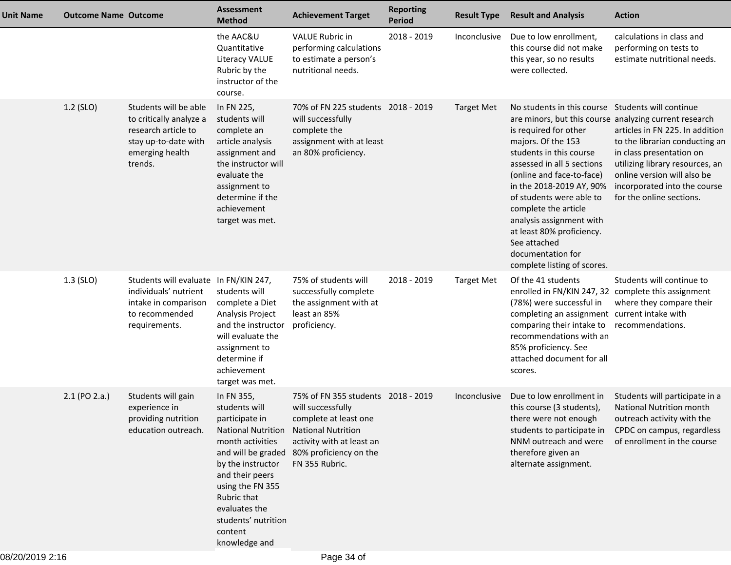| <b>Unit Name</b> | <b>Outcome Name Outcome</b> |                                                                                                                               | <b>Assessment</b><br><b>Method</b>                                                                                                                                                                                                            | <b>Achievement Target</b>                                                                                                                                                                                 | <b>Reporting</b><br><b>Period</b> | <b>Result Type</b> | <b>Result and Analysis</b>                                                                                                                                                                                                                                                                                                                                                                                                                                    | <b>Action</b>                                                                                                                                                                                                               |
|------------------|-----------------------------|-------------------------------------------------------------------------------------------------------------------------------|-----------------------------------------------------------------------------------------------------------------------------------------------------------------------------------------------------------------------------------------------|-----------------------------------------------------------------------------------------------------------------------------------------------------------------------------------------------------------|-----------------------------------|--------------------|---------------------------------------------------------------------------------------------------------------------------------------------------------------------------------------------------------------------------------------------------------------------------------------------------------------------------------------------------------------------------------------------------------------------------------------------------------------|-----------------------------------------------------------------------------------------------------------------------------------------------------------------------------------------------------------------------------|
|                  |                             |                                                                                                                               | the AAC&U<br>Quantitative<br>Literacy VALUE<br>Rubric by the<br>instructor of the<br>course.                                                                                                                                                  | <b>VALUE Rubric in</b><br>performing calculations<br>to estimate a person's<br>nutritional needs.                                                                                                         | 2018 - 2019                       | Inconclusive       | Due to low enrollment,<br>this course did not make<br>this year, so no results<br>were collected.                                                                                                                                                                                                                                                                                                                                                             | calculations in class and<br>performing on tests to<br>estimate nutritional needs.                                                                                                                                          |
|                  | 1.2 (SLO)                   | Students will be able<br>to critically analyze a<br>research article to<br>stay up-to-date with<br>emerging health<br>trends. | In FN 225,<br>students will<br>complete an<br>article analysis<br>assignment and<br>the instructor will<br>evaluate the<br>assignment to<br>determine if the<br>achievement<br>target was met.                                                | 70% of FN 225 students 2018 - 2019<br>will successfully<br>complete the<br>assignment with at least<br>an 80% proficiency.                                                                                |                                   | <b>Target Met</b>  | No students in this course Students will continue<br>are minors, but this course analyzing current research<br>is required for other<br>majors. Of the 153<br>students in this course<br>assessed in all 5 sections<br>(online and face-to-face)<br>in the 2018-2019 AY, 90%<br>of students were able to<br>complete the article<br>analysis assignment with<br>at least 80% proficiency.<br>See attached<br>documentation for<br>complete listing of scores. | articles in FN 225. In addition<br>to the librarian conducting an<br>in class presentation on<br>utilizing library resources, an<br>online version will also be<br>incorporated into the course<br>for the online sections. |
|                  | $1.3$ (SLO)                 | Students will evaluate In FN/KIN 247,<br>individuals' nutrient<br>intake in comparison<br>to recommended<br>requirements.     | students will<br>complete a Diet<br>Analysis Project<br>and the instructor<br>will evaluate the<br>assignment to<br>determine if<br>achievement<br>target was met.                                                                            | 75% of students will<br>successfully complete<br>the assignment with at<br>least an 85%<br>proficiency.                                                                                                   | 2018 - 2019                       | <b>Target Met</b>  | Of the 41 students<br>enrolled in FN/KIN 247, 32 complete this assignment<br>(78%) were successful in<br>completing an assignment current intake with<br>comparing their intake to<br>recommendations with an<br>85% proficiency. See<br>attached document for all<br>scores.                                                                                                                                                                                 | Students will continue to<br>where they compare their<br>recommendations.                                                                                                                                                   |
|                  | 2.1 (PO 2.a.)               | Students will gain<br>experience in<br>providing nutrition<br>education outreach.                                             | In FN 355,<br>students will<br>participate in<br><b>National Nutrition</b><br>month activities<br>by the instructor<br>and their peers<br>using the FN 355<br>Rubric that<br>evaluates the<br>students' nutrition<br>content<br>knowledge and | 75% of FN 355 students 2018 - 2019<br>will successfully<br>complete at least one<br><b>National Nutrition</b><br>activity with at least an<br>and will be graded 80% proficiency on the<br>FN 355 Rubric. |                                   | Inconclusive       | Due to low enrollment in<br>this course (3 students),<br>there were not enough<br>students to participate in<br>NNM outreach and were<br>therefore given an<br>alternate assignment.                                                                                                                                                                                                                                                                          | Students will participate in a<br><b>National Nutrition month</b><br>outreach activity with the<br>CPDC on campus, regardless<br>of enrollment in the course                                                                |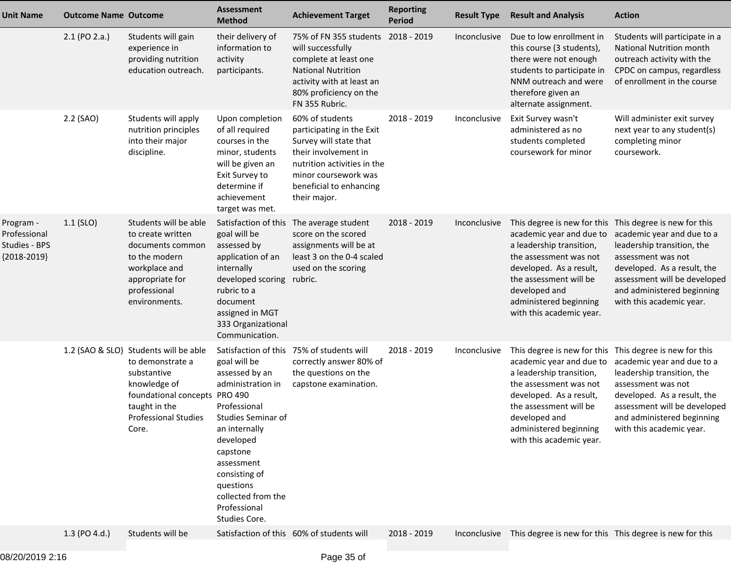| <b>Unit Name</b>                                            | <b>Outcome Name Outcome</b> |                                                                                                                                                                                                | <b>Assessment</b><br><b>Method</b>                                                                                                                                                                               | <b>Achievement Target</b>                                                                                                                                                                        | <b>Reporting</b><br><b>Period</b> | <b>Result Type</b> | <b>Result and Analysis</b>                                                                                                                                                                                                                                            | <b>Action</b>                                                                                                                                                                                                                    |
|-------------------------------------------------------------|-----------------------------|------------------------------------------------------------------------------------------------------------------------------------------------------------------------------------------------|------------------------------------------------------------------------------------------------------------------------------------------------------------------------------------------------------------------|--------------------------------------------------------------------------------------------------------------------------------------------------------------------------------------------------|-----------------------------------|--------------------|-----------------------------------------------------------------------------------------------------------------------------------------------------------------------------------------------------------------------------------------------------------------------|----------------------------------------------------------------------------------------------------------------------------------------------------------------------------------------------------------------------------------|
|                                                             | 2.1 (PO 2.a.)               | Students will gain<br>experience in<br>providing nutrition<br>education outreach.                                                                                                              | their delivery of<br>information to<br>activity<br>participants.                                                                                                                                                 | 75% of FN 355 students 2018 - 2019<br>will successfully<br>complete at least one<br><b>National Nutrition</b><br>activity with at least an<br>80% proficiency on the<br>FN 355 Rubric.           |                                   | Inconclusive       | Due to low enrollment in<br>this course (3 students),<br>there were not enough<br>students to participate in<br>NNM outreach and were<br>therefore given an<br>alternate assignment.                                                                                  | Students will participate in a<br><b>National Nutrition month</b><br>outreach activity with the<br>CPDC on campus, regardless<br>of enrollment in the course                                                                     |
|                                                             | 2.2 (SAO)                   | Students will apply<br>nutrition principles<br>into their major<br>discipline.                                                                                                                 | Upon completion<br>of all required<br>courses in the<br>minor, students<br>will be given an<br>Exit Survey to<br>determine if<br>achievement<br>target was met.                                                  | 60% of students<br>participating in the Exit<br>Survey will state that<br>their involvement in<br>nutrition activities in the<br>minor coursework was<br>beneficial to enhancing<br>their major. | 2018 - 2019                       | Inconclusive       | Exit Survey wasn't<br>administered as no<br>students completed<br>coursework for minor                                                                                                                                                                                | Will administer exit survey<br>next year to any student(s)<br>completing minor<br>coursework.                                                                                                                                    |
| Program -<br>Professional<br>Studies - BPS<br>${2018-2019}$ | $1.1$ (SLO)                 | Students will be able<br>to create written<br>documents common<br>to the modern<br>workplace and<br>appropriate for<br>professional<br>environments.                                           | Satisfaction of this<br>goal will be<br>assessed by<br>application of an<br>internally<br>developed scoring rubric.<br>rubric to a<br>document<br>assigned in MGT<br>333 Organizational<br>Communication.        | The average student<br>score on the scored<br>assignments will be at<br>least 3 on the 0-4 scaled<br>used on the scoring                                                                         | 2018 - 2019                       | Inconclusive       | This degree is new for this This degree is new for this<br>academic year and due to<br>a leadership transition,<br>the assessment was not<br>developed. As a result,<br>the assessment will be<br>developed and<br>administered beginning<br>with this academic year. | academic year and due to a<br>leadership transition, the<br>assessment was not<br>developed. As a result, the<br>assessment will be developed<br>and administered beginning<br>with this academic year.                          |
|                                                             |                             | 1.2 (SAO & SLO) Students will be able<br>to demonstrate a<br>substantive<br>knowledge of<br>foundational concepts PRO 490<br>taught in the<br>Professional Studies Studies Seminar of<br>Core. | goal will be<br>assessed by an<br>administration in<br>Professional<br>an internally<br>developed<br>capstone<br>assessment<br>consisting of<br>questions<br>collected from the<br>Professional<br>Studies Core. | Satisfaction of this 75% of students will<br>correctly answer 80% of<br>the questions on the<br>capstone examination.                                                                            | 2018 - 2019                       | Inconclusive       | This degree is new for this This degree is new for this<br>a leadership transition,<br>the assessment was not<br>developed. As a result,<br>the assessment will be<br>developed and<br>administered beginning<br>with this academic year.                             | academic year and due to academic year and due to a<br>leadership transition, the<br>assessment was not<br>developed. As a result, the<br>assessment will be developed<br>and administered beginning<br>with this academic year. |
|                                                             | 1.3 (PO 4.d.)               | Students will be                                                                                                                                                                               |                                                                                                                                                                                                                  | Satisfaction of this 60% of students will                                                                                                                                                        | 2018 - 2019                       |                    | Inconclusive This degree is new for this This degree is new for this                                                                                                                                                                                                  |                                                                                                                                                                                                                                  |